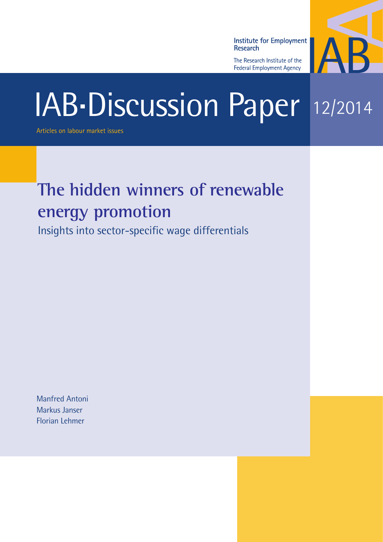**Institute for Employment** Research

The Research Institute of the **Federal Employment Agency** 



# IAB-Discussion Paper 12/2014

Articles on labour market issues

# **The hidden winners of renewable energy promotion**

Insights into sector-specific wage differentials

Manfred Antoni Markus Janser Florian Lehmer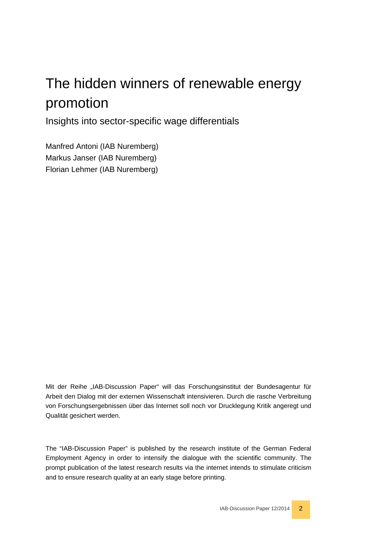# The hidden winners of renewable energy promotion

Insights into sector-specific wage differentials

Manfred Antoni (IAB Nuremberg) Markus Janser (IAB Nuremberg) Florian Lehmer (IAB Nuremberg)

Mit der Reihe "IAB-Discussion Paper" will das Forschungsinstitut der Bundesagentur für Arbeit den Dialog mit der externen Wissenschaft intensivieren. Durch die rasche Verbreitung von Forschungsergebnissen über das Internet soll noch vor Drucklegung Kritik angeregt und Qualität gesichert werden.

The "IAB-Discussion Paper" is published by the research institute of the German Federal Employment Agency in order to intensify the dialogue with the scientific community. The prompt publication of the latest research results via the internet intends to stimulate criticism and to ensure research quality at an early stage before printing.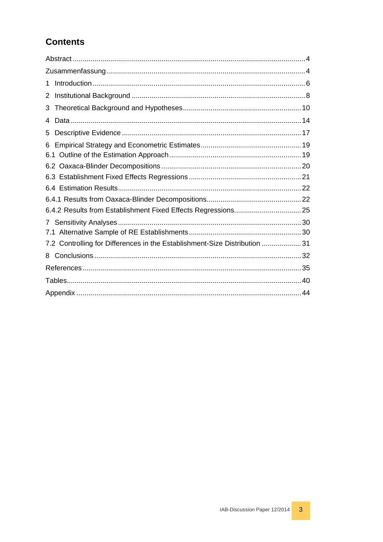# **Contents**

| 1                                                                          |  |
|----------------------------------------------------------------------------|--|
| 2                                                                          |  |
| 3                                                                          |  |
| 4                                                                          |  |
| 5                                                                          |  |
| 6                                                                          |  |
|                                                                            |  |
|                                                                            |  |
|                                                                            |  |
|                                                                            |  |
|                                                                            |  |
|                                                                            |  |
| $\mathcal{I}$                                                              |  |
|                                                                            |  |
| 7.2 Controlling for Differences in the Establishment-Size Distribution  31 |  |
| 8                                                                          |  |
|                                                                            |  |
|                                                                            |  |
|                                                                            |  |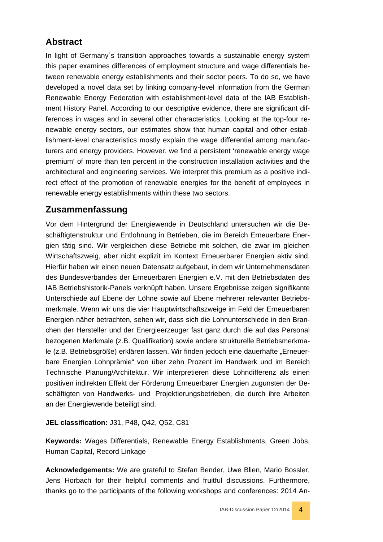# <span id="page-3-0"></span>**Abstract**

In light of Germany´s transition approaches towards a sustainable energy system this paper examines differences of employment structure and wage differentials between renewable energy establishments and their sector peers. To do so, we have developed a novel data set by linking company-level information from the German Renewable Energy Federation with establishment-level data of the IAB Establishment History Panel. According to our descriptive evidence, there are significant differences in wages and in several other characteristics. Looking at the top-four renewable energy sectors, our estimates show that human capital and other establishment-level characteristics mostly explain the wage differential among manufacturers and energy providers. However, we find a persistent 'renewable energy wage premium' of more than ten percent in the construction installation activities and the architectural and engineering services. We interpret this premium as a positive indirect effect of the promotion of renewable energies for the benefit of employees in renewable energy establishments within these two sectors.

# <span id="page-3-1"></span>**Zusammenfassung**

Vor dem Hintergrund der Energiewende in Deutschland untersuchen wir die Beschäftigtenstruktur und Entlohnung in Betrieben, die im Bereich Erneuerbare Energien tätig sind. Wir vergleichen diese Betriebe mit solchen, die zwar im gleichen Wirtschaftszweig, aber nicht explizit im Kontext Erneuerbarer Energien aktiv sind. Hierfür haben wir einen neuen Datensatz aufgebaut, in dem wir Unternehmensdaten des Bundesverbandes der Erneuerbaren Energien e.V. mit den Betriebsdaten des IAB Betriebshistorik-Panels verknüpft haben. Unsere Ergebnisse zeigen signifikante Unterschiede auf Ebene der Löhne sowie auf Ebene mehrerer relevanter Betriebsmerkmale. Wenn wir uns die vier Hauptwirtschaftszweige im Feld der Erneuerbaren Energien näher betrachten, sehen wir, dass sich die Lohnunterschiede in den Branchen der Hersteller und der Energieerzeuger fast ganz durch die auf das Personal bezogenen Merkmale (z.B. Qualifikation) sowie andere strukturelle Betriebsmerkmale (z.B. Betriebsgröße) erklären lassen. Wir finden jedoch eine dauerhafte "Erneuerbare Energien Lohnprämie" von über zehn Prozent im Handwerk und im Bereich Technische Planung/Architektur. Wir interpretieren diese Lohndifferenz als einen positiven indirekten Effekt der Förderung Erneuerbarer Energien zugunsten der Beschäftigten von Handwerks- und Projektierungsbetrieben, die durch ihre Arbeiten an der Energiewende beteiligt sind.

**JEL classification:** J31, P48, Q42, Q52, C81

**Keywords:** Wages Differentials, Renewable Energy Establishments, Green Jobs, Human Capital, Record Linkage

**Acknowledgements:** We are grateful to Stefan Bender, Uwe Blien, Mario Bossler, Jens Horbach for their helpful comments and fruitful discussions. Furthermore, thanks go to the participants of the following workshops and conferences: 2014 An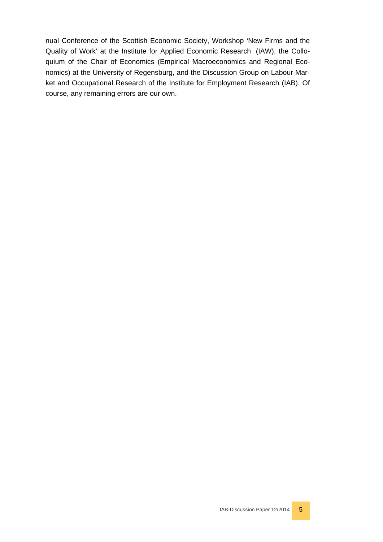nual Conference of the Scottish Economic Society, Workshop 'New Firms and the Quality of Work' at the Institute for Applied Economic Research (IAW), the Colloquium of the Chair of Economics (Empirical Macroeconomics and Regional Economics) at the University of Regensburg, and the Discussion Group on Labour Market and Occupational Research of the Institute for Employment Research (IAB). Of course, any remaining errors are our own.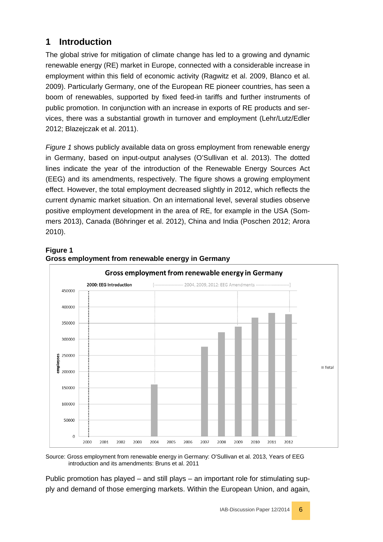# <span id="page-5-0"></span>**1 Introduction**

The global strive for mitigation of climate change has led to a growing and dynamic renewable energy (RE) market in Europe, connected with a considerable increase in employment within this field of economic activity (Ragwitz et al. 2009, Blanco et al. 2009). Particularly Germany, one of the European RE pioneer countries, has seen a boom of renewables, supported by fixed feed-in tariffs and further instruments of public promotion. In conjunction with an increase in exports of RE products and services, there was a substantial growth in turnover and employment (Lehr/Lutz/Edler 2012; Blazejczak et al. 2011).

*Figure 1* shows publicly available data on gross employment from renewable energy in Germany, based on input-output analyses (O'Sullivan et al. 2013). The dotted lines indicate the year of the introduction of the Renewable Energy Sources Act (EEG) and its amendments, respectively. The figure shows a growing employment effect. However, the total employment decreased slightly in 2012, which reflects the current dynamic market situation. On an international level, several studies observe positive employment development in the area of RE, for example in the USA (Sommers 2013), Canada (Böhringer et al. 2012), China and India (Poschen 2012; Arora 2010).



#### **Figure 1 Gross employment from renewable energy in Germany**

Source: Gross employment from renewable energy in Germany: O'Sullivan et al. 2013, Years of EEG introduction and its amendments: Bruns et al. 2011

Public promotion has played – and still plays – an important role for stimulating supply and demand of those emerging markets. Within the European Union, and again,

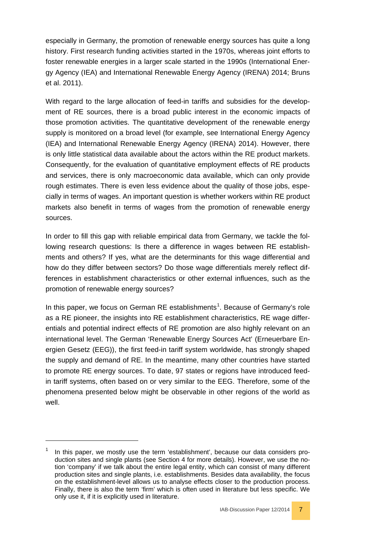especially in Germany, the promotion of renewable energy sources has quite a long history. First research funding activities started in the 1970s, whereas joint efforts to foster renewable energies in a larger scale started in the 1990s (International Energy Agency (IEA) and International Renewable Energy Agency (IRENA) 2014; Bruns et al. 2011).

With regard to the large allocation of feed-in tariffs and subsidies for the development of RE sources, there is a broad public interest in the economic impacts of those promotion activities. The quantitative development of the renewable energy supply is monitored on a broad level (for example, see International Energy Agency (IEA) and International Renewable Energy Agency (IRENA) 2014). However, there is only little statistical data available about the actors within the RE product markets. Consequently, for the evaluation of quantitative employment effects of RE products and services, there is only macroeconomic data available, which can only provide rough estimates. There is even less evidence about the quality of those jobs, especially in terms of wages. An important question is whether workers within RE product markets also benefit in terms of wages from the promotion of renewable energy sources.

In order to fill this gap with reliable empirical data from Germany, we tackle the following research questions: Is there a difference in wages between RE establishments and others? If yes, what are the determinants for this wage differential and how do they differ between sectors? Do those wage differentials merely reflect differences in establishment characteristics or other external influences, such as the promotion of renewable energy sources?

In this paper, we focus on German RE establishments<sup>[1](#page-6-0)</sup>. Because of Germany's role as a RE pioneer, the insights into RE establishment characteristics, RE wage differentials and potential indirect effects of RE promotion are also highly relevant on an international level. The German 'Renewable Energy Sources Act' (Erneuerbare Energien Gesetz (EEG)), the first feed-in tariff system worldwide, has strongly shaped the supply and demand of RE. In the meantime, many other countries have started to promote RE energy sources. To date, 97 states or regions have introduced feedin tariff systems, often based on or very similar to the EEG. Therefore, some of the phenomena presented below might be observable in other regions of the world as well.

-

<span id="page-6-0"></span>In this paper, we mostly use the term 'establishment', because our data considers production sites and single plants (see Section 4 for more details). However, we use the notion 'company' if we talk about the entire legal entity, which can consist of many different production sites and single plants, i.e. establishments. Besides data availability, the focus on the establishment-level allows us to analyse effects closer to the production process. Finally, there is also the term 'firm' which is often used in literature but less specific. We only use it, if it is explicitly used in literature.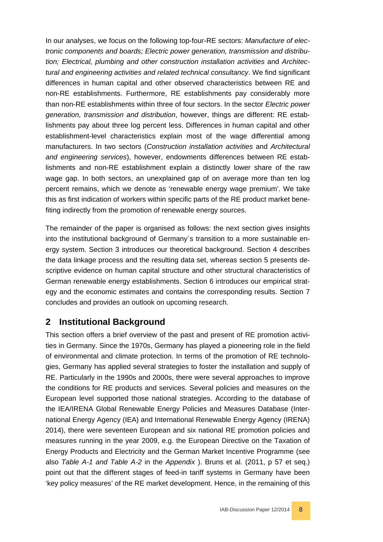In our analyses, we focus on the following top-four-RE sectors: *Manufacture of electronic components and boards; Electric power generation, transmission and distribu*tion; Electrical, plumbing and other construction installation activities and Architec*tural and engineering activities and related technical consultancy*. We find significant differences in human capital and other observed characteristics between RE and non-RE establishments. Furthermore, RE establishments pay considerably more than non-RE establishments within three of four sectors. In the sector *Electric power generation, transmission and distribution*, however, things are different: RE establishments pay about three log percent less. Differences in human capital and other establishment-level characteristics explain most of the wage differential among manufacturers. In two sectors (*Construction installation activities* and *Architectural and engineering services*), however, endowments differences between RE establishments and non-RE establishment explain a distinctly lower share of the raw wage gap. In both sectors, an unexplained gap of on average more than ten log percent remains, which we denote as 'renewable energy wage premium'. We take this as first indication of workers within specific parts of the RE product market benefiting indirectly from the promotion of renewable energy sources.

The remainder of the paper is organised as follows: the next section gives insights into the institutional background of Germany´s transition to a more sustainable energy system. Section 3 introduces our theoretical background. Section 4 describes the data linkage process and the resulting data set, whereas section 5 presents descriptive evidence on human capital structure and other structural characteristics of German renewable energy establishments. Section 6 introduces our empirical strategy and the economic estimates and contains the corresponding results. Section 7 concludes and provides an outlook on upcoming research.

# <span id="page-7-0"></span>**2 Institutional Background**

This section offers a brief overview of the past and present of RE promotion activities in Germany. Since the 1970s, Germany has played a pioneering role in the field of environmental and climate protection. In terms of the promotion of RE technologies, Germany has applied several strategies to foster the installation and supply of RE. Particularly in the 1990s and 2000s, there were several approaches to improve the conditions for RE products and services. Several policies and measures on the European level supported those national strategies. According to the database of the IEA/IRENA Global Renewable Energy Policies and Measures Database (International Energy Agency (IEA) and International Renewable Energy Agency (IRENA) 2014), there were seventeen European and six national RE promotion policies and measures running in the year 2009, e.g. the European [Directive on the Taxation of](http://www.iea.org/policiesandmeasures/pams/europeancommission/name,24236,en.php?s=dHlwZT1yZSZzdGF0dXM9T2s,&return=PGRpdiBjbGFzcz0ic3ViTWVudSI-PGRpdiBjbGFzcz0iYnJlYWRjcnVtYnMiPjxhIGhyZWY9Ii8iPkludGVybmF0aW9uYWwgRW5lcmd5IEFnZW5jeSZ6d25qOzwvYT4mbmJzcDsmZ3Q7Jm5ic3A7PGEgaHJlZj0iL3BvbGljaWVzYW5kbWVhc3VyZXMvIj5Qb2xpY2llcyBhbmQgTWVhc3VyZXM8L2E-Jm5ic3A7Jmd0OzxhIGhyZWY9Ii9wb2xpY2llc2FuZG1lYXN1cmVzL3JlbmV3YWJsZWVuZXJneS9pbmRleC5waHAiPiZuYnNwO1JlbmV3YWJsZSBFbmVyZ3k8L2E-Jm5ic3A7Jmd0OyZuYnNwO1NlYXJjaCBSZXN1bHQ8L2Rpdj48L2Rpdj4,)  [Energy Products and Electricity](http://www.iea.org/policiesandmeasures/pams/europeancommission/name,24236,en.php?s=dHlwZT1yZSZzdGF0dXM9T2s,&return=PGRpdiBjbGFzcz0ic3ViTWVudSI-PGRpdiBjbGFzcz0iYnJlYWRjcnVtYnMiPjxhIGhyZWY9Ii8iPkludGVybmF0aW9uYWwgRW5lcmd5IEFnZW5jeSZ6d25qOzwvYT4mbmJzcDsmZ3Q7Jm5ic3A7PGEgaHJlZj0iL3BvbGljaWVzYW5kbWVhc3VyZXMvIj5Qb2xpY2llcyBhbmQgTWVhc3VyZXM8L2E-Jm5ic3A7Jmd0OzxhIGhyZWY9Ii9wb2xpY2llc2FuZG1lYXN1cmVzL3JlbmV3YWJsZWVuZXJneS9pbmRleC5waHAiPiZuYnNwO1JlbmV3YWJsZSBFbmVyZ3k8L2E-Jm5ic3A7Jmd0OyZuYnNwO1NlYXJjaCBSZXN1bHQ8L2Rpdj48L2Rpdj4,) and the German Market Incentive Programme (see also *Table A-1 and Table A-2* in the *Appendix* ). Bruns et al. (2011, p 57 et seq.) point out that the different stages of feed-in tariff systems in Germany have been 'key policy measures' of the RE market development. Hence, in the remaining of this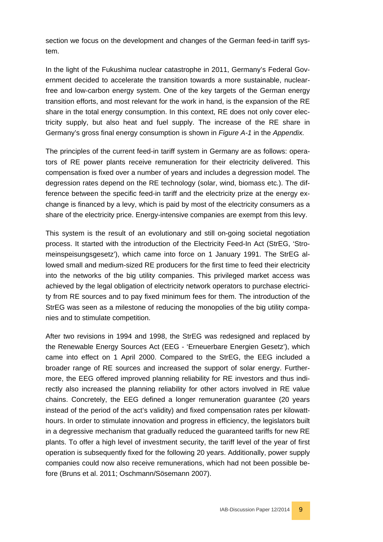section we focus on the development and changes of the German feed-in tariff system.

In the light of the Fukushima nuclear catastrophe in 2011, Germany's Federal Government decided to accelerate the transition towards a more sustainable, nuclearfree and low-carbon energy system. One of the key targets of the German energy transition efforts, and most relevant for the work in hand, is the expansion of the RE share in the total energy consumption. In this context, RE does not only cover electricity supply, but also heat and fuel supply. The increase of the RE share in Germany's gross final energy consumption is shown in *Figure A-1* in the *Appendix.*

The principles of the current feed-in tariff system in Germany are as follows: operators of RE power plants receive remuneration for their electricity delivered. This compensation is fixed over a number of years and includes a degression model. The degression rates depend on the RE technology (solar, wind, biomass etc.). The difference between the specific feed-in tariff and the electricity prize at the energy exchange is financed by a levy, which is paid by most of the electricity consumers as a share of the electricity price. Energy-intensive companies are exempt from this levy.

This system is the result of an evolutionary and still on-going societal negotiation process. It started with the introduction of the Electricity Feed-In Act (StrEG, 'Stromeinspeisungsgesetz'), which came into force on 1 January 1991. The StrEG allowed small and medium-sized RE producers for the first time to feed their electricity into the networks of the big utility companies. This privileged market access was achieved by the legal obligation of electricity network operators to purchase electricity from RE sources and to pay fixed minimum fees for them. The introduction of the StrEG was seen as a milestone of reducing the monopolies of the big utility companies and to stimulate competition.

After two revisions in 1994 and 1998, the StrEG was redesigned and replaced by the Renewable Energy Sources Act (EEG - 'Erneuerbare Energien Gesetz'), which came into effect on 1 April 2000. Compared to the StrEG, the EEG included a broader range of RE sources and increased the support of solar energy. Furthermore, the EEG offered improved planning reliability for RE investors and thus indirectly also increased the planning reliability for other actors involved in RE value chains. Concretely, the EEG defined a longer remuneration guarantee (20 years instead of the period of the act's validity) and fixed compensation rates per kilowatthours. In order to stimulate innovation and progress in efficiency, the legislators built in a degressive mechanism that gradually reduced the guaranteed tariffs for new RE plants. To offer a high level of investment security, the tariff level of the year of first operation is subsequently fixed for the following 20 years. Additionally, power supply companies could now also receive remunerations, which had not been possible before (Bruns et al. 2011; Oschmann/Sösemann 2007).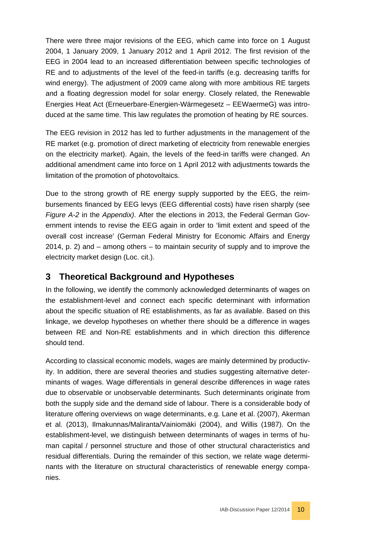There were three major revisions of the EEG, which came into force on 1 August 2004, 1 January 2009, 1 January 2012 and 1 April 2012. The first revision of the EEG in 2004 lead to an increased differentiation between specific technologies of RE and to adjustments of the level of the feed-in tariffs (e.g. decreasing tariffs for wind energy). The adjustment of 2009 came along with more ambitious RE targets and a floating degression model for solar energy. Closely related, the Renewable Energies Heat Act (Erneuerbare-Energien-Wärmegesetz – EEWaermeG) was introduced at the same time. This law regulates the promotion of heating by RE sources.

The EEG revision in 2012 has led to further adjustments in the management of the RE market (e.g. promotion of direct marketing of electricity from renewable energies on the electricity market). Again, the levels of the feed-in tariffs were changed. An additional amendment came into force on 1 April 2012 with adjustments towards the limitation of the promotion of photovoltaics.

Due to the strong growth of RE energy supply supported by the EEG, the reimbursements financed by EEG levys (EEG differential costs) have risen sharply (see *Figure A-2* in the *Appendix)*. After the elections in 2013, the Federal German Government intends to revise the EEG again in order to 'limit extent and speed of the overall cost increase' (German Federal Ministry for Economic Affairs and Energy 2014, p. 2) and – among others – to maintain security of supply and to improve the electricity market design (Loc. cit.).

# <span id="page-9-0"></span>**3 Theoretical Background and Hypotheses**

In the following, we identify the commonly acknowledged determinants of wages on the establishment-level and connect each specific determinant with information about the specific situation of RE establishments, as far as available. Based on this linkage, we develop hypotheses on whether there should be a difference in wages between RE and Non-RE establishments and in which direction this difference should tend.

According to classical economic models, wages are mainly determined by productivity. In addition, there are several theories and studies suggesting alternative determinants of wages. Wage differentials in general describe differences in wage rates due to observable or unobservable determinants. Such determinants originate from both the supply side and the demand side of labour. There is a considerable body of literature offering overviews on wage determinants, e.g. Lane et al. (2007), Akerman et al. (2013), Ilmakunnas/Maliranta/Vainiomäki (2004), and Willis (1987). On the establishment-level, we distinguish between determinants of wages in terms of human capital / personnel structure and those of other structural characteristics and residual differentials. During the remainder of this section, we relate wage determinants with the literature on structural characteristics of renewable energy companies.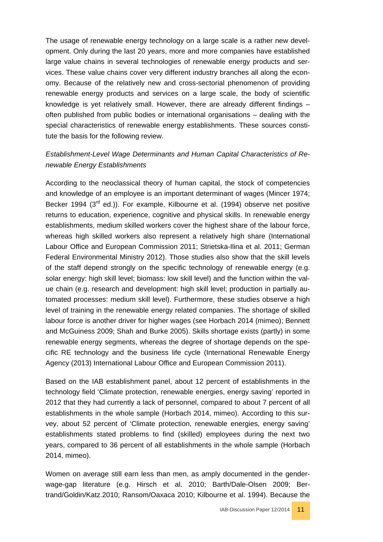The usage of renewable energy technology on a large scale is a rather new development. Only during the last 20 years, more and more companies have established large value chains in several technologies of renewable energy products and services. These value chains cover very different industry branches all along the economy. Because of the relatively new and cross-sectorial phenomenon of providing renewable energy products and services on a large scale, the body of scientific knowledge is yet relatively small. However, there are already different findings – often published from public bodies or international organisations – dealing with the special characteristics of renewable energy establishments. These sources constitute the basis for the following review.

#### *Establishment-Level Wage Determinants and Human Capital Characteristics of Renewable Energy Establishments*

According to the neoclassical theory of human capital, the stock of competencies and knowledge of an employee is an important determinant of wages (Mincer 1974; Becker 1994 (3<sup>rd</sup> ed.)). For example, Kilbourne et al. (1994) observe net positive returns to education, experience, cognitive and physical skills. In renewable energy establishments, medium skilled workers cover the highest share of the labour force, whereas high skilled workers also represent a relatively high share (International Labour Office and European Commission 2011; Strietska-Ilina et al. 2011; German Federal Environmental Ministry 2012). Those studies also show that the skill levels of the staff depend strongly on the specific technology of renewable energy (e.g. solar energy: high skill level; biomass: low skill level) and the function within the value chain (e.g. research and development: high skill level; production in partially automated processes: medium skill level). Furthermore, these studies observe a high level of training in the renewable energy related companies. The shortage of skilled labour force is another driver for higher wages (see Horbach 2014 (mimeo); Bennett and McGuiness 2009; Shah and Burke 2005). Skills shortage exists (partly) in some renewable energy segments, whereas the degree of shortage depends on the specific RE technology and the business life cycle (International Renewable Energy Agency (2013) International Labour Office and European Commission 2011).

Based on the IAB establishment panel, about 12 percent of establishments in the technology field 'Climate protection, renewable energies, energy saving' reported in 2012 that they had currently a lack of personnel, compared to about 7 percent of all establishments in the whole sample (Horbach 2014, mimeo). According to this survey, about 52 percent of 'Climate protection, renewable energies, energy saving' establishments stated problems to find (skilled) employees during the next two years, compared to 36 percent of all establishments in the whole sample (Horbach 2014, mimeo).

Women on average still earn less than men, as amply documented in the genderwage-gap literature (e.g. Hirsch et al. 2010; Barth/Dale-Olsen 2009; Bertrand/Goldin/Katz.2010; Ransom/Oaxaca 2010; Kilbourne et al. 1994). Because the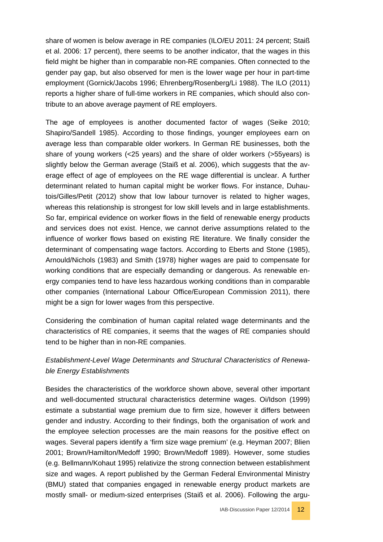share of women is below average in RE companies (ILO/EU 2011: 24 percent; Staiß et al. 2006: 17 percent), there seems to be another indicator, that the wages in this field might be higher than in comparable non-RE companies. Often connected to the gender pay gap, but also observed for men is the lower wage per hour in part-time employment (Gornick/Jacobs 1996; Ehrenberg/Rosenberg/Li 1988). The ILO (2011) reports a higher share of full-time workers in RE companies, which should also contribute to an above average payment of RE employers.

The age of employees is another documented factor of wages (Seike 2010; Shapiro/Sandell 1985). According to those findings, younger employees earn on average less than comparable older workers. In German RE businesses, both the share of young workers (<25 years) and the share of older workers (>55years) is slightly below the German average (Staiß et al. 2006), which suggests that the average effect of age of employees on the RE wage differential is unclear. A further determinant related to human capital might be worker flows. For instance, Duhautois/Gilles/Petit (2012) show that low labour turnover is related to higher wages, whereas this relationship is strongest for low skill levels and in large establishments. So far, empirical evidence on worker flows in the field of renewable energy products and services does not exist. Hence, we cannot derive assumptions related to the influence of worker flows based on existing RE literature. We finally consider the determinant of compensating wage factors. According to Eberts and Stone (1985), Arnould/Nichols (1983) and Smith (1978) higher wages are paid to compensate for working conditions that are especially demanding or dangerous. As renewable energy companies tend to have less hazardous working conditions than in comparable other companies (International Labour Office/European Commission 2011), there might be a sign for lower wages from this perspective.

Considering the combination of human capital related wage determinants and the characteristics of RE companies, it seems that the wages of RE companies should tend to be higher than in non-RE companies.

#### *Establishment-Level Wage Determinants and Structural Characteristics of Renewable Energy Establishments*

Besides the characteristics of the workforce shown above, several other important and well-documented structural characteristics determine wages. Oi/Idson (1999) estimate a substantial wage premium due to firm size, however it differs between gender and industry. According to their findings, both the organisation of work and the employee selection processes are the main reasons for the positive effect on wages. Several papers identify a 'firm size wage premium' (e.g. Heyman 2007; Blien 2001; Brown/Hamilton/Medoff 1990; Brown/Medoff 1989). However, some studies (e.g. Bellmann/Kohaut 1995) relativize the strong connection between establishment size and wages. A report published by the German Federal Environmental Ministry (BMU) stated that companies engaged in renewable energy product markets are mostly small- or medium-sized enterprises (Staiß et al. 2006). Following the argu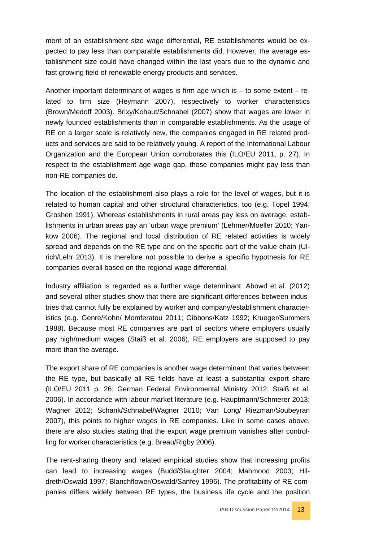ment of an establishment size wage differential, RE establishments would be expected to pay less than comparable establishments did. However, the average establishment size could have changed within the last years due to the dynamic and fast growing field of renewable energy products and services.

Another important determinant of wages is firm age which is  $-$  to some extent  $-$  related to firm size (Heymann 2007), respectively to worker characteristics (Brown/Medoff 2003). Brixy/Kohaut/Schnabel (2007) show that wages are lower in newly founded establishments than in comparable establishments. As the usage of RE on a larger scale is relatively new, the companies engaged in RE related products and services are said to be relatively young. A report of the International Labour Organization and the European Union corroborates this (ILO/EU 2011, p. 27). In respect to the establishment age wage gap, those companies might pay less than non-RE companies do.

The location of the establishment also plays a role for the level of wages, but it is related to human capital and other structural characteristics, too (e.g. Topel 1994; Groshen 1991). Whereas establishments in rural areas pay less on average, establishments in urban areas pay an 'urban wage premium' (Lehmer/Moeller 2010; Yankow 2006). The regional and local distribution of RE related activities is widely spread and depends on the RE type and on the specific part of the value chain (Ulrich/Lehr 2013). It is therefore not possible to derive a specific hypothesis for RE companies overall based on the regional wage differential.

Industry affiliation is regarded as a further wage determinant. Abowd et al. (2012) and several other studies show that there are significant differences between industries that cannot fully be explained by worker and company/establishment characteristics (e.g. Genre/Kohn/ Momferatou 2011; Gibbons/Katz 1992; Krueger/Summers 1988). Because most RE companies are part of sectors where employers usually pay high/medium wages (Staiß et al. 2006), RE employers are supposed to pay more than the average.

The export share of RE companies is another wage determinant that varies between the RE type, but basically all RE fields have at least a substantial export share (ILO/EU 2011 p. 26; German Federal Environmental Ministry 2012; Staiß et al. 2006). In accordance with labour market literature (e.g. Hauptmann/Schmerer 2013; Wagner 2012; Schank/Schnabel/Wagner 2010; Van Long/ Riezman/Soubeyran 2007), this points to higher wages in RE companies. Like in some cases above, there are also studies stating that the export wage premium vanishes after controlling for worker characteristics (e.g. Breau/Rigby 2006).

The rent-sharing theory and related empirical studies show that increasing profits can lead to increasing wages (Budd/Slaughter 2004; Mahmood 2003; Hildreth/Oswald 1997; Blanchflower/Oswald/Sanfey 1996). The profitability of RE companies differs widely between RE types, the business life cycle and the position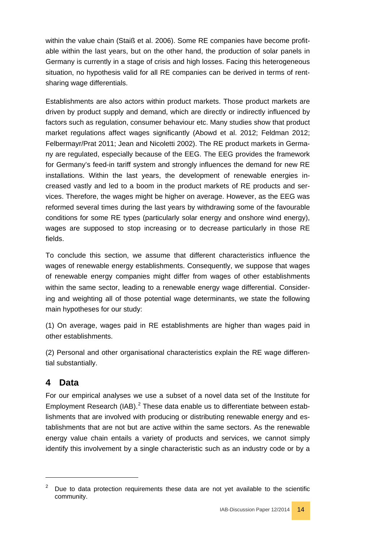within the value chain (Staiß et al. 2006). Some RE companies have become profitable within the last years, but on the other hand, the production of solar panels in Germany is currently in a stage of crisis and high losses. Facing this heterogeneous situation, no hypothesis valid for all RE companies can be derived in terms of rentsharing wage differentials.

Establishments are also actors within product markets. Those product markets are driven by product supply and demand, which are directly or indirectly influenced by factors such as regulation, consumer behaviour etc. Many studies show that product market regulations affect wages significantly (Abowd et al. 2012; Feldman 2012; Felbermayr/Prat 2011; Jean and Nicoletti 2002). The RE product markets in Germany are regulated, especially because of the EEG. The EEG provides the framework for Germany's feed-in tariff system and strongly influences the demand for new RE installations. Within the last years, the development of renewable energies increased vastly and led to a boom in the product markets of RE products and services. Therefore, the wages might be higher on average. However, as the EEG was reformed several times during the last years by withdrawing some of the favourable conditions for some RE types (particularly solar energy and onshore wind energy), wages are supposed to stop increasing or to decrease particularly in those RE fields.

To conclude this section, we assume that different characteristics influence the wages of renewable energy establishments. Consequently, we suppose that wages of renewable energy companies might differ from wages of other establishments within the same sector, leading to a renewable energy wage differential. Considering and weighting all of those potential wage determinants, we state the following main hypotheses for our study:

(1) On average, wages paid in RE establishments are higher than wages paid in other establishments.

(2) Personal and other organisational characteristics explain the RE wage differential substantially.

# <span id="page-13-0"></span>**4 Data**

-

For our empirical analyses we use a subset of a novel data set of the Institute for Employment Research (IAB).<sup>[2](#page-13-1)</sup> These data enable us to differentiate between establishments that are involved with producing or distributing renewable energy and establishments that are not but are active within the same sectors. As the renewable energy value chain entails a variety of products and services, we cannot simply identify this involvement by a single characteristic such as an industry code or by a

<span id="page-13-1"></span>Due to data protection requirements these data are not yet available to the scientific community.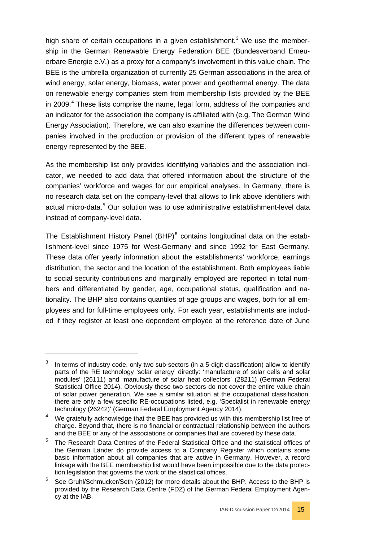high share of certain occupations in a given establishment.<sup>[3](#page-14-0)</sup> We use the membership in the German Renewable Energy Federation BEE (Bundesverband Erneuerbare Energie e.V.) as a proxy for a company's involvement in this value chain. The BEE is the umbrella organization of currently 25 German associations in the area of wind energy, solar energy, biomass, water power and geothermal energy. The data on renewable energy companies stem from membership lists provided by the BEE in 2009.<sup>[4](#page-14-1)</sup> These lists comprise the name, legal form, address of the companies and an indicator for the association the company is affiliated with (e.g. The German Wind Energy Association). Therefore, we can also examine the differences between companies involved in the production or provision of the different types of renewable energy represented by the BEE.

As the membership list only provides identifying variables and the association indicator, we needed to add data that offered information about the structure of the companies' workforce and wages for our empirical analyses. In Germany, there is no research data set on the company-level that allows to link above identifiers with actual micro-data.<sup>[5](#page-14-2)</sup> Our solution was to use administrative establishment-level data instead of company-level data.

The Establishment History Panel  $(BHP)^6$  $(BHP)^6$  contains longitudinal data on the establishment-level since 1975 for West-Germany and since 1992 for East Germany. These data offer yearly information about the establishments' workforce, earnings distribution, the sector and the location of the establishment. Both employees liable to social security contributions and marginally employed are reported in total numbers and differentiated by gender, age, occupational status, qualification and nationality. The BHP also contains quantiles of age groups and wages, both for all employees and for full-time employees only. For each year, establishments are included if they register at least one dependent employee at the reference date of June

-

<span id="page-14-0"></span>In terms of industry code, only two sub-sectors (in a 5-digit classification) allow to identify parts of the RE technology 'solar energy' directly: 'manufacture of solar cells and solar modules' (26111) and 'manufacture of solar heat collectors' (28211) (German Federal Statistical Office 2014). Obviously these two sectors do not cover the entire value chain of solar power generation. We see a similar situation at the occupational classification: there are only a few specific RE-occupations listed, e.g. 'Specialist in renewable energy technology (26242)' (German Federal Employment Agency 2014).

<span id="page-14-1"></span>We gratefully acknowledge that the BEE has provided us with this membership list free of charge. Beyond that, there is no financial or contractual relationship between the authors and the BEE or any of the associations or companies that are covered by these data.

<span id="page-14-2"></span><sup>5</sup> The Research Data Centres of the Federal Statistical Office and the statistical offices of the German Länder do provide access to a Company Register which contains some basic information about all companies that are active in Germany. However, a record linkage with the BEE membership list would have been impossible due to the data protection legislation that governs the work of the statistical offices.

<span id="page-14-3"></span> $6$  See Gruhl/Schmucker/Seth (2012) for more details about the BHP. Access to the BHP is provided by the Research Data Centre (FDZ) of the German Federal Employment Agency at the IAB.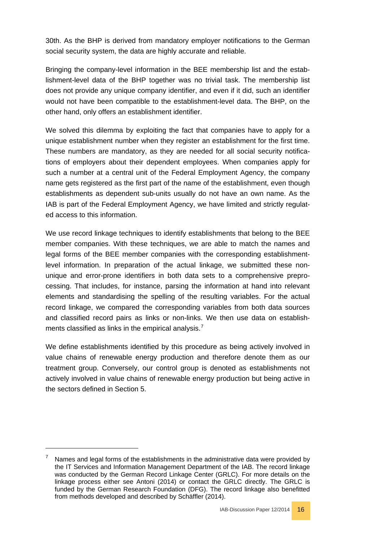30th. As the BHP is derived from mandatory employer notifications to the German social security system, the data are highly accurate and reliable.

Bringing the company-level information in the BEE membership list and the establishment-level data of the BHP together was no trivial task. The membership list does not provide any unique company identifier, and even if it did, such an identifier would not have been compatible to the establishment-level data. The BHP, on the other hand, only offers an establishment identifier.

We solved this dilemma by exploiting the fact that companies have to apply for a unique establishment number when they register an establishment for the first time. These numbers are mandatory, as they are needed for all social security notifications of employers about their dependent employees. When companies apply for such a number at a central unit of the Federal Employment Agency, the company name gets registered as the first part of the name of the establishment, even though establishments as dependent sub-units usually do not have an own name. As the IAB is part of the Federal Employment Agency, we have limited and strictly regulated access to this information.

We use record linkage techniques to identify establishments that belong to the BEE member companies. With these techniques, we are able to match the names and legal forms of the BEE member companies with the corresponding establishmentlevel information. In preparation of the actual linkage, we submitted these nonunique and error-prone identifiers in both data sets to a comprehensive preprocessing. That includes, for instance, parsing the information at hand into relevant elements and standardising the spelling of the resulting variables. For the actual record linkage, we compared the corresponding variables from both data sources and classified record pairs as links or non-links. We then use data on establish-ments classified as links in the empirical analysis.<sup>[7](#page-15-0)</sup>

We define establishments identified by this procedure as being actively involved in value chains of renewable energy production and therefore denote them as our treatment group. Conversely, our control group is denoted as establishments not actively involved in value chains of renewable energy production but being active in the sectors defined in Section [5.](#page-16-0)

-



<span id="page-15-0"></span>Names and legal forms of the establishments in the administrative data were provided by the IT Services and Information Management Department of the IAB. The record linkage was conducted by the German Record Linkage Center (GRLC). For more details on the linkage process either see Antoni (2014) or contact the GRLC directly. The GRLC is funded by the German Research Foundation (DFG). The record linkage also benefitted from methods developed and described by Schäffler (2014).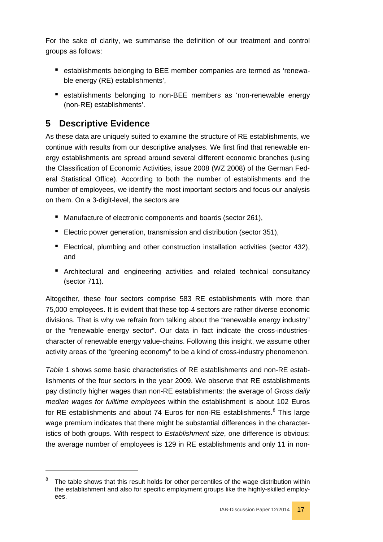For the sake of clarity, we summarise the definition of our treatment and control groups as follows:

- establishments belonging to BEE member companies are termed as 'renewable energy (RE) establishments',
- establishments belonging to non-BEE members as 'non-renewable energy (non-RE) establishments'.

# <span id="page-16-0"></span>**5 Descriptive Evidence**

-

As these data are uniquely suited to examine the structure of RE establishments, we continue with results from our descriptive analyses. We first find that renewable energy establishments are spread around several different economic branches (using the Classification of Economic Activities, issue 2008 (WZ 2008) of the German Federal Statistical Office). According to both the number of establishments and the number of employees, we identify the most important sectors and focus our analysis on them. On a 3-digit-level, the sectors are

- Manufacture of electronic components and boards (sector 261),
- Electric power generation, transmission and distribution (sector 351),
- Electrical, plumbing and other construction installation activities (sector 432), and
- Architectural and engineering activities and related technical consultancy (sector 711).

Altogether, these four sectors comprise 583 RE establishments with more than 75,000 employees. It is evident that these top-4 sectors are rather diverse economic divisions. That is why we refrain from talking about the "renewable energy industry" or the "renewable energy sector". Our data in fact indicate the cross-industriescharacter of renewable energy value-chains. Following this insight, we assume other activity areas of the "greening economy" to be a kind of cross-industry phenomenon.

*[Table](#page-39-0)* 1 shows some basic characteristics of RE establishments and non-RE establishments of the four sectors in the year 2009. We observe that RE establishments pay distinctly higher wages than non-RE establishments: the average of *Gross daily median wages for fulltime employees* within the establishment is about 102 Euros for RE establishments and about 74 Euros for non-RE establishments.<sup>[8](#page-16-1)</sup> This large wage premium indicates that there might be substantial differences in the characteristics of both groups. With respect to *Establishment size*, one difference is obvious: the average number of employees is 129 in RE establishments and only 11 in non-



<span id="page-16-1"></span>The table shows that this result holds for other percentiles of the wage distribution within the establishment and also for specific employment groups like the highly-skilled employees.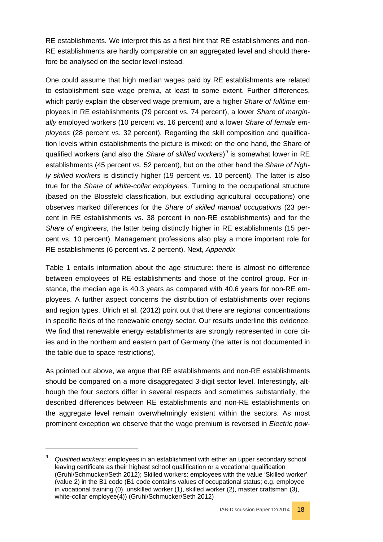RE establishments. We interpret this as a first hint that RE establishments and non-RE establishments are hardly comparable on an aggregated level and should therefore be analysed on the sector level instead.

One could assume that high median wages paid by RE establishments are related to establishment size wage premia, at least to some extent. Further differences, which partly explain the observed wage premium, are a higher *Share of fulltime* employees in RE establishments (79 percent vs. 74 percent), a lower *Share of marginally* employed workers (10 percent vs. 16 percent) and a lower *Share of female employees* (28 percent vs. 32 percent). Regarding the skill composition and qualification levels within establishments the picture is mixed: on the one hand, the Share of qualified workers (and also the *Share of skilled workers*) [9](#page-17-0) is somewhat lower in RE establishments (45 percent vs. 52 percent), but on the other hand the *Share of highly skilled workers* is distinctly higher (19 percent vs. 10 percent). The latter is also true for the *Share of white-collar employees*. Turning to the occupational structure (based on the Blossfeld classification, but excluding agricultural occupations) one observes marked differences for the *Share of skilled manual occupations* (23 percent in RE establishments vs. 38 percent in non-RE establishments) and for the *Share of engineers*, the latter being distinctly higher in RE establishments (15 percent vs. 10 percent). Management professions also play a more important role for RE establishments (6 percent vs. 2 percent). Next, *[Appendix](#page-39-0)*

[Table](#page-39-0) 1 entails information about the age structure: there is almost no difference between employees of RE establishments and those of the control group. For instance, the median age is 40.3 years as compared with 40.6 years for non-RE employees. A further aspect concerns the distribution of establishments over regions and region types. Ulrich et al. (2012) point out that there are regional concentrations in specific fields of the renewable energy sector. Our results underline this evidence. We find that renewable energy establishments are strongly represented in core cities and in the northern and eastern part of Germany (the latter is not documented in the table due to space restrictions).

As pointed out above, we argue that RE establishments and non-RE establishments should be compared on a more disaggregated 3-digit sector level. Interestingly, although the four sectors differ in several respects and sometimes substantially, the described differences between RE establishments and non-RE establishments on the aggregate level remain overwhelmingly existent within the sectors. As most prominent exception we observe that the wage premium is reversed in *Electric pow-*

-



<span id="page-17-0"></span><sup>9</sup> *Qualified workers*: employees in an establishment with either an upper secondary school leaving certificate as their highest school qualification or a vocational qualification (Gruhl/Schmucker/Seth 2012); Skilled workers: employees with the value 'Skilled worker' (value 2) in the B1 code (B1 code contains values of occupational status; e.g. employee in vocational training (0), unskilled worker (1), skilled worker (2), master craftsman (3), white-collar employee(4)) (Gruhl/Schmucker/Seth 2012)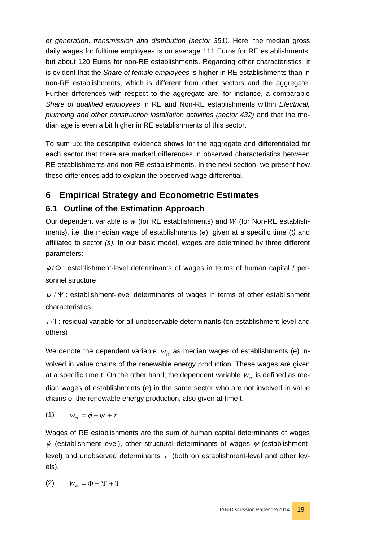*er generation, transmission and distribution (sector 351)*. Here, the median gross daily wages for fulltime employees is on average 111 Euros for RE establishments, but about 120 Euros for non-RE establishments. Regarding other characteristics, it is evident that the *Share of female employees* is higher in RE establishments than in non-RE establishments, which is different from other sectors and the aggregate. Further differences with respect to the aggregate are, for instance, a comparable *Share of qualified employees* in RE and Non-RE establishments within *Electrical, plumbing and other construction installation activities (sector 432)* and that the median age is even a bit higher in RE establishments of this sector.

To sum up: the descriptive evidence shows for the aggregate and differentiated for each sector that there are marked differences in observed characteristics between RE establishments and non-RE establishments. In the next section, we present how these differences add to explain the observed wage differential.

# <span id="page-18-0"></span>**6 Empirical Strategy and Econometric Estimates**

# <span id="page-18-1"></span>**6.1 Outline of the Estimation Approach**

Our dependent variable is  $w$  (for RE establishments) and  $W$  (for Non-RE establishments), i.e. the median wage of establishments (*e*), given at a specific time (*t)* and affiliated to sector *(s).* In our basic model, wages are determined by three different parameters:

 $\phi/\Phi$ : establishment-level determinants of wages in terms of human capital / personnel structure

 $\psi$  /  $\Psi$  : establishment-level determinants of wages in terms of other establishment characteristics

 $\tau/T$ : residual variable for all unobservable determinants (on establishment-level and others)

We denote the dependent variable  $w_{et}$  as median wages of establishments (e) involved in value chains of the renewable energy production. These wages are given at a specific time t. On the other hand, the dependent variable  $W_{et}$  is defined as median wages of establishments (e) in the same sector who are not involved in value chains of the renewable energy production, also given at time t.

$$
(1) \qquad w_{et} = \phi + \psi + \tau
$$

Wages of RE establishments are the sum of human capital determinants of wages  $\phi$  (establishment-level), other structural determinants of wages  $\psi$  (establishmentlevel) and unobserved determinants  $\tau$  (both on establishment-level and other levels).

$$
(2) \qquad W_{_{et}}=\Phi+\Psi+\text{T}
$$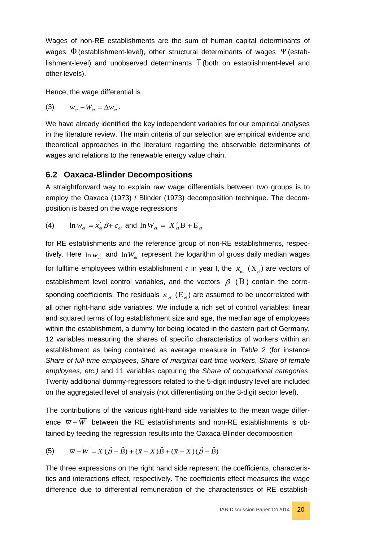Wages of non-RE establishments are the sum of human capital determinants of wages  $\Phi$  (establishment-level), other structural determinants of wages  $\Psi$  (establishment-level) and unobserved determinants Τ (both on establishment-level and other levels).

Hence, the wage differential is

$$
\textbf{(3)}\qquad \quad w_{et}-W_{et}=\Delta w_{et}\,.
$$

We have already identified the key independent variables for our empirical analyses in the literature review. The main criteria of our selection are empirical evidence and theoretical approaches in the literature regarding the observable determinants of wages and relations to the renewable energy value chain.

#### <span id="page-19-0"></span>**6.2 Oaxaca-Blinder Decompositions**

A straightforward way to explain raw wage differentials between two groups is to employ the Oaxaca (1973) / Blinder (1973) decomposition technique. The decomposition is based on the wage regressions

(4)  $\ln w_{et} = x'_{et} \beta + \varepsilon_{et}$  and  $\ln W_{et} = X'_{et} B + E_{et}$ 

for RE establishments and the reference group of non-RE establishments, respectively. Here  $\ln w_{\text{at}}$  and  $\ln W_{\text{et}}$  represent the logarithm of gross daily median wages for fulltime employees within establishment *e* in year t, the  $x_{et}$  ( $X_{et}$ ) are vectors of establishment level control variables, and the vectors  $\beta$  (B) contain the corresponding coefficients. The residuals  $\varepsilon_{et}$  (E<sub>et</sub>) are assumed to be uncorrelated with all other right-hand side variables. We include a rich set of control variables: linear and squared terms of log establishment size and age, the median age of employees within the establishment, a dummy for being located in the eastern part of Germany, 12 variables measuring the shares of specific characteristics of workers within an establishment as being contained as average measure in *Table 2* (for instance *Share of full-time employees*, *Share of marginal part-time workers*, *Share of female employees, etc.)* and 11 variables capturing the *Share of occupational categories*. Twenty additional dummy-regressors related to the 5-digit industry level are included on the aggregated level of analysis (not differentiating on the 3-digit sector level).

The contributions of the various right-hand side variables to the mean wage difference  $\overline{w}$  –  $\overline{W}$  between the RE establishments and non-RE establishments is obtained by feeding the regression results into the Oaxaca-Blinder decomposition

(5) 
$$
\overline{w} - \overline{W} = \overline{X} (\hat{\beta} - \hat{B}) + (\overline{x} - \overline{X}) \hat{B} + (\overline{x} - \overline{X}) (\hat{\beta} - \hat{B})
$$

The three expressions on the right hand side represent the coefficients, characteristics and interactions effect, respectively. The coefficients effect measures the wage difference due to differential remuneration of the characteristics of RE establish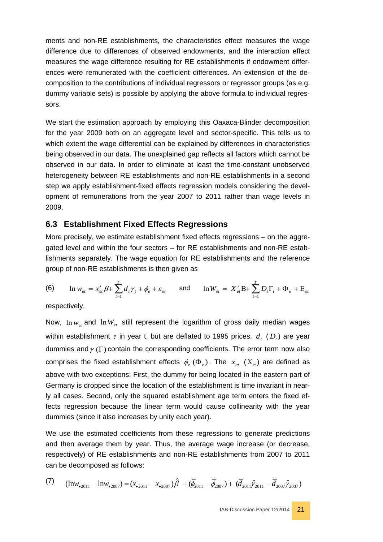ments and non-RE establishments, the characteristics effect measures the wage difference due to differences of observed endowments, and the interaction effect measures the wage difference resulting for RE establishments if endowment differences were remunerated with the coefficient differences. An extension of the decomposition to the contributions of individual regressors or regressor groups (as e.g. dummy variable sets) is possible by applying the above formula to individual regressors.

We start the estimation approach by employing this Oaxaca-Blinder decomposition for the year 2009 both on an aggregate level and sector-specific. This tells us to which extent the wage differential can be explained by differences in characteristics being observed in our data. The unexplained gap reflects all factors which cannot be observed in our data. In order to eliminate at least the time-constant unobserved heterogeneity between RE establishments and non-RE establishments in a second step we apply establishment-fixed effects regression models considering the development of remunerations from the year 2007 to 2011 rather than wage levels in 2009.

#### <span id="page-20-0"></span>**6.3 Establishment Fixed Effects Regressions**

More precisely, we estimate establishment fixed effects regressions – on the aggregated level and within the four sectors – for RE establishments and non-RE establishments separately. The wage equation for RE establishments and the reference group of non-RE establishments is then given as

(6) 
$$
\ln w_{et} = x'_{et} \beta + \sum_{t=1}^{T} d_t \gamma_t + \phi_e + \varepsilon_{et}
$$
 and  $\ln W_{et} = X'_{et} B + \sum_{t=1}^{T} D_t \Gamma_t + \Phi_e + E_{et}$ 

respectively.

Now,  $\ln w_{et}$  and  $\ln W_{et}$  still represent the logarithm of gross daily median wages within establishment  $e$  in year t, but are deflated to 1995 prices.  $d_{i}(D_{i})$  are year dummies and  $\gamma$  (Γ) contain the corresponding coefficients. The error term now also comprises the fixed establishment effects  $\phi_{\varepsilon}(\Phi_{\varepsilon})$ . The  $x_{\varepsilon t}$   $(X_{\varepsilon t})$  are defined as above with two exceptions: First, the dummy for being located in the eastern part of Germany is dropped since the location of the establishment is time invariant in nearly all cases. Second, only the squared establishment age term enters the fixed effects regression because the linear term would cause collinearity with the year dummies (since it also increases by unity each year).

We use the estimated coefficients from these regressions to generate predictions and then average them by year. Thus, the average wage increase (or decrease, respectively) of RE establishments and non-RE establishments from 2007 to 2011 can be decomposed as follows:

$$
(7) \qquad (1n\overline{w}_{\bullet 2011} - 1n\overline{w}_{\bullet 2007}) = (\overline{x}_{\bullet 2011} - \overline{x}_{\bullet 2007})\hat{\beta} + (\overline{\phi}_{2011} - \overline{\phi}_{2007}) + (\overline{d}_{2011}\hat{\gamma}_{2011} - \overline{d}_{2007}\hat{\gamma}_{2007})
$$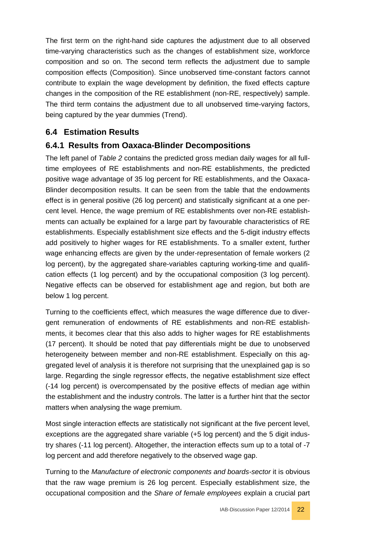The first term on the right-hand side captures the adjustment due to all observed time-varying characteristics such as the changes of establishment size, workforce composition and so on. The second term reflects the adjustment due to sample composition effects (Composition). Since unobserved time-constant factors cannot contribute to explain the wage development by definition, the fixed effects capture changes in the composition of the RE establishment (non-RE, respectively) sample. The third term contains the adjustment due to all unobserved time-varying factors, being captured by the year dummies (Trend).

# <span id="page-21-0"></span>**6.4 Estimation Results**

# <span id="page-21-1"></span>**6.4.1 Results from Oaxaca-Blinder Decompositions**

The left panel of *[Table 2](#page-41-0)* contains the predicted gross median daily wages for all fulltime employees of RE establishments and non-RE establishments, the predicted positive wage advantage of 35 log percent for RE establishments, and the Oaxaca-Blinder decomposition results. It can be seen from the table that the endowments effect is in general positive (26 log percent) and statistically significant at a one percent level. Hence, the wage premium of RE establishments over non-RE establishments can actually be explained for a large part by favourable characteristics of RE establishments. Especially establishment size effects and the 5-digit industry effects add positively to higher wages for RE establishments. To a smaller extent, further wage enhancing effects are given by the under-representation of female workers (2 log percent), by the aggregated share-variables capturing working-time and qualification effects (1 log percent) and by the occupational composition (3 log percent). Negative effects can be observed for establishment age and region, but both are below 1 log percent.

Turning to the coefficients effect, which measures the wage difference due to divergent remuneration of endowments of RE establishments and non-RE establishments, it becomes clear that this also adds to higher wages for RE establishments (17 percent). It should be noted that pay differentials might be due to unobserved heterogeneity between member and non-RE establishment. Especially on this aggregated level of analysis it is therefore not surprising that the unexplained gap is so large. Regarding the single regressor effects, the negative establishment size effect (-14 log percent) is overcompensated by the positive effects of median age within the establishment and the industry controls. The latter is a further hint that the sector matters when analysing the wage premium.

Most single interaction effects are statistically not significant at the five percent level, exceptions are the aggregated share variable (+5 log percent) and the 5 digit industry shares (-11 log percent). Altogether, the interaction effects sum up to a total of -7 log percent and add therefore negatively to the observed wage gap.

Turning to the *Manufacture of electronic components and boards-sector* it is obvious that the raw wage premium is 26 log percent. Especially establishment size, the occupational composition and the *Share of female employees* explain a crucial part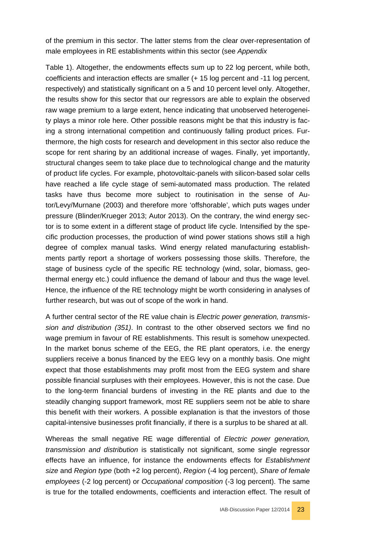of the premium in this sector. The latter stems from the clear over-representation of male employees in RE establishments within this sector (see *[Appendix](#page-39-0)*

[Table](#page-39-0) 1). Altogether, the endowments effects sum up to 22 log percent, while both, coefficients and interaction effects are smaller (+ 15 log percent and -11 log percent, respectively) and statistically significant on a 5 and 10 percent level only. Altogether, the results show for this sector that our regressors are able to explain the observed raw wage premium to a large extent, hence indicating that unobserved heterogeneity plays a minor role here. Other possible reasons might be that this industry is facing a strong international competition and continuously falling product prices. Furthermore, the high costs for research and development in this sector also reduce the scope for rent sharing by an additional increase of wages. Finally, yet importantly, structural changes seem to take place due to technological change and the maturity of product life cycles. For example, photovoltaic-panels with silicon-based solar cells have reached a life cycle stage of semi-automated mass production. The related tasks have thus become more subject to routinisation in the sense of Autor/Levy/Murnane (2003) and therefore more 'offshorable', which puts wages under pressure (Blinder/Krueger 2013; Autor 2013). On the contrary, the wind energy sector is to some extent in a different stage of product life cycle. Intensified by the specific production processes, the production of wind power stations shows still a high degree of complex manual tasks. Wind energy related manufacturing establishments partly report a shortage of workers possessing those skills. Therefore, the stage of business cycle of the specific RE technology (wind, solar, biomass, geothermal energy etc.) could influence the demand of labour and thus the wage level. Hence, the influence of the RE technology might be worth considering in analyses of further research, but was out of scope of the work in hand.

A further central sector of the RE value chain is *Electric power generation, transmission and distribution (351)*. In contrast to the other observed sectors we find no wage premium in favour of RE establishments. This result is somehow unexpected. In the market bonus scheme of the EEG, the RE plant operators, i.e. the energy suppliers receive a bonus financed by the EEG levy on a monthly basis. One might expect that those establishments may profit most from the EEG system and share possible financial surpluses with their employees. However, this is not the case. Due to the long-term financial burdens of investing in the RE plants and due to the steadily changing support framework, most RE suppliers seem not be able to share this benefit with their workers. A possible explanation is that the investors of those capital-intensive businesses profit financially, if there is a surplus to be shared at all.

Whereas the small negative RE wage differential of *Electric power generation, transmission and distribution* is statistically not significant, some single regressor effects have an influence, for instance the endowments effects for *Establishment size* and *Region type* (both +2 log percent), *Region* (-4 log percent), *Share of female employees* (-2 log percent) or *Occupational composition* (-3 log percent). The same is true for the totalled endowments, coefficients and interaction effect. The result of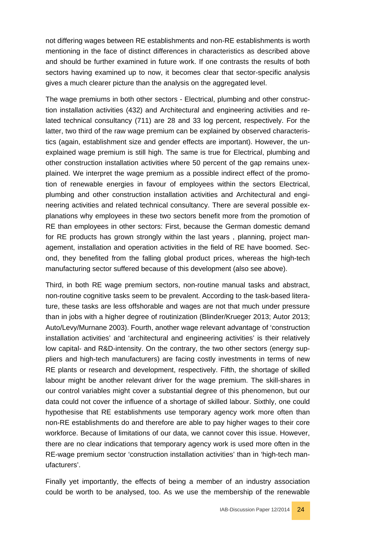not differing wages between RE establishments and non-RE establishments is worth mentioning in the face of distinct differences in characteristics as described above and should be further examined in future work. If one contrasts the results of both sectors having examined up to now, it becomes clear that sector-specific analysis gives a much clearer picture than the analysis on the aggregated level.

The wage premiums in both other sectors - Electrical, plumbing and other construction installation activities (432) and Architectural and engineering activities and related technical consultancy (711) are 28 and 33 log percent, respectively. For the latter, two third of the raw wage premium can be explained by observed characteristics (again, establishment size and gender effects are important). However, the unexplained wage premium is still high. The same is true for Electrical, plumbing and other construction installation activities where 50 percent of the gap remains unexplained. We interpret the wage premium as a possible indirect effect of the promotion of renewable energies in favour of employees within the sectors Electrical, plumbing and other construction installation activities and Architectural and engineering activities and related technical consultancy. There are several possible explanations why employees in these two sectors benefit more from the promotion of RE than employees in other sectors: First, because the German domestic demand for RE products has grown strongly within the last years , planning, project management, installation and operation activities in the field of RE have boomed. Second, they benefited from the falling global product prices, whereas the high-tech manufacturing sector suffered because of this development (also see above).

Third, in both RE wage premium sectors, non-routine manual tasks and abstract, non-routine cognitive tasks seem to be prevalent. According to the task-based literature, these tasks are less offshorable and wages are not that much under pressure than in jobs with a higher degree of routinization (Blinder/Krueger 2013; Autor 2013; Auto/Levy/Murnane 2003). Fourth, another wage relevant advantage of 'construction installation activities' and 'architectural and engineering activities' is their relatively low capital- and R&D-intensity. On the contrary, the two other sectors (energy suppliers and high-tech manufacturers) are facing costly investments in terms of new RE plants or research and development, respectively. Fifth, the shortage of skilled labour might be another relevant driver for the wage premium. The skill-shares in our control variables might cover a substantial degree of this phenomenon, but our data could not cover the influence of a shortage of skilled labour. Sixthly, one could hypothesise that RE establishments use temporary agency work more often than non-RE establishments do and therefore are able to pay higher wages to their core workforce. Because of limitations of our data, we cannot cover this issue. However, there are no clear indications that temporary agency work is used more often in the RE-wage premium sector 'construction installation activities' than in 'high-tech manufacturers'.

Finally yet importantly, the effects of being a member of an industry association could be worth to be analysed, too. As we use the membership of the renewable

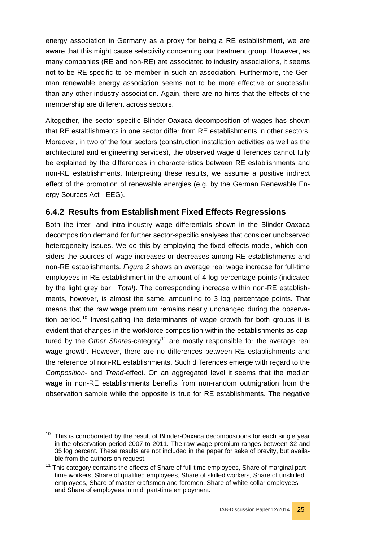energy association in Germany as a proxy for being a RE establishment, we are aware that this might cause selectivity concerning our treatment group. However, as many companies (RE and non-RE) are associated to industry associations, it seems not to be RE-specific to be member in such an association. Furthermore, the German renewable energy association seems not to be more effective or successful than any other industry association. Again, there are no hints that the effects of the membership are different across sectors.

Altogether, the sector-specific Blinder-Oaxaca decomposition of wages has shown that RE establishments in one sector differ from RE establishments in other sectors. Moreover, in two of the four sectors (construction installation activities as well as the architectural and engineering services), the observed wage differences cannot fully be explained by the differences in characteristics between RE establishments and non-RE establishments. Interpreting these results, we assume a positive indirect effect of the promotion of renewable energies (e.g. by the German Renewable Energy Sources Act - EEG).

# <span id="page-24-0"></span>**6.4.2 Results from Establishment Fixed Effects Regressions**

Both the inter- and intra-industry wage differentials shown in the Blinder-Oaxaca decomposition demand for further sector-specific analyses that consider unobserved heterogeneity issues. We do this by employing the fixed effects model, which considers the sources of wage increases or decreases among RE establishments and non-RE establishments. *Figure 2* shows an average real wage increase for full-time employees in RE establishment in the amount of 4 log percentage points (indicated by the light grey bar *\_Total*). The corresponding increase within non-RE establishments, however, is almost the same, amounting to 3 log percentage points. That means that the raw wage premium remains nearly unchanged during the observa-tion period.<sup>[10](#page-24-1)</sup> Investigating the determinants of wage growth for both groups it is evident that changes in the workforce composition within the establishments as captured by the *Other Shares-category*<sup>[11](#page-24-2)</sup> are mostly responsible for the average real wage growth. However, there are no differences between RE establishments and the reference of non-RE establishments. Such differences emerge with regard to the *Composition*- and *Trend*-effect. On an aggregated level it seems that the median wage in non-RE establishments benefits from non-random outmigration from the observation sample while the opposite is true for RE establishments. The negative

-

<span id="page-24-1"></span> $10$  This is corroborated by the result of Blinder-Oaxaca decompositions for each single year in the observation period 2007 to 2011. The raw wage premium ranges between 32 and 35 log percent. These results are not included in the paper for sake of brevity, but available from the authors on request.

<span id="page-24-2"></span><sup>&</sup>lt;sup>11</sup> This category contains the effects of Share of full-time employees, Share of marginal parttime workers, Share of qualified employees, Share of skilled workers, Share of unskilled employees, Share of master craftsmen and foremen, Share of white-collar employees and Share of employees in midi part-time employment.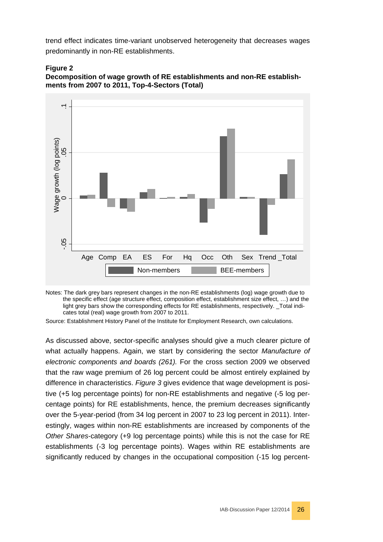trend effect indicates time-variant unobserved heterogeneity that decreases wages predominantly in non-RE establishments.







Notes: The dark grey bars represent changes in the non-RE establishments (log) wage growth due to the specific effect (age structure effect, composition effect, establishment size effect, …) and the light grey bars show the corresponding effects for RE establishments, respectively. \_Total indicates total (real) wage growth from 2007 to 2011.

Source: Establishment History Panel of the Institute for Employment Research, own calculations.

As discussed above, sector-specific analyses should give a much clearer picture of what actually happens. Again, we start by considering the sector *Manufacture of electronic components and boards (261).* For the cross section 2009 we observed that the raw wage premium of 26 log percent could be almost entirely explained by difference in characteristics. *Figure 3* gives evidence that wage development is positive (+5 log percentage points) for non-RE establishments and negative (-5 log percentage points) for RE establishments, hence, the premium decreases significantly over the 5-year-period (from 34 log percent in 2007 to 23 log percent in 2011). Interestingly, wages within non-RE establishments are increased by components of the *Other Shares*-category (+9 log percentage points) while this is not the case for RE establishments (-3 log percentage points). Wages within RE establishments are Significantly<br>
Age Comp EA ES For Hq Occ Oth Sex Trend\_Total<br>
Notes: The dark grey bars represent changes in the non-RE establishments (log) wage growth due to<br>
the specific effect (age structure effect, composition effec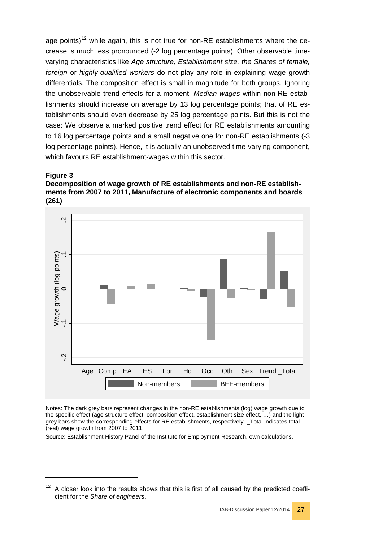age points)<sup>[12](#page-26-0)</sup> while again, this is not true for non-RE establishments where the decrease is much less pronounced (-2 log percentage points). Other observable timevarying characteristics like *Age structure, Establishment size, the Shares of female, foreign* or *highly-qualified workers* do not play any role in explaining wage growth differentials. The composition effect is small in magnitude for both groups. Ignoring the unobservable trend effects for a moment, *Median wages* within non-RE establishments should increase on average by 13 log percentage points; that of RE establishments should even decrease by 25 log percentage points. But this is not the case: We observe a marked positive trend effect for RE establishments amounting to 16 log percentage points and a small negative one for non-RE establishments (-3 log percentage points). Hence, it is actually an unobserved time-varying component, which favours RE establishment-wages within this sector.

#### **Figure 3**

-

#### **Decomposition of wage growth of RE establishments and non-RE establishments from 2007 to 2011, Manufacture of electronic components and boards (261)**



Notes: The dark grey bars represent changes in the non-RE establishments (log) wage growth due to the specific effect (age structure effect, composition effect, establishment size effect, …) and the light grey bars show the corresponding effects for RE establishments, respectively. \_Total indicates total (real) wage growth from 2007 to 2011.

Source: Establishment History Panel of the Institute for Employment Research, own calculations.

<span id="page-26-0"></span> $12$  A closer look into the results shows that this is first of all caused by the predicted coeffi-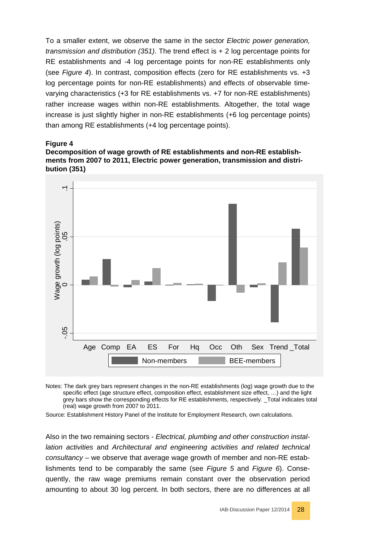To a smaller extent, we observe the same in the sector *Electric power generation, transmission and distribution (351)*. The trend effect is + 2 log percentage points for RE establishments and -4 log percentage points for non-RE establishments only (see *Figure 4*). In contrast, composition effects (zero for RE establishments vs. +3 log percentage points for non-RE establishments) and effects of observable timevarying characteristics (+3 for RE establishments vs. +7 for non-RE establishments) rather increase wages within non-RE establishments. Altogether, the total wage increase is just slightly higher in non-RE establishments (+6 log percentage points) than among RE establishments (+4 log percentage points).

#### **Figure 4**

**Decomposition of wage growth of RE establishments and non-RE establishments from 2007 to 2011, Electric power generation, transmission and distribution (351)**



Notes: The dark grey bars represent changes in the non-RE establishments (log) wage growth due to the specific effect (age structure effect, composition effect, establishment size effect, …) and the light grey bars show the corresponding effects for RE establishments, respectively. \_Total indicates total (real) wage growth from 2007 to 2011.

Source: Establishment History Panel of the Institute for Employment Research, own calculations.

Also in the two remaining sectors - *Electrical, plumbing and other construction installation activities* and *Architectural and engineering activities and related technical consultancy* – we observe that average wage growth of member and non-RE establishments tend to be comparably the same (see *Figure 5* and *Figure 6*). Consequently, the raw wage premiums remain constant over the observation period Beta more of the sectors, the percent changes in the non-RE establishments (tog) wage growth due to the specific effect (age structure effect, composition effect, establishments (tog) wage growth due to the specific effect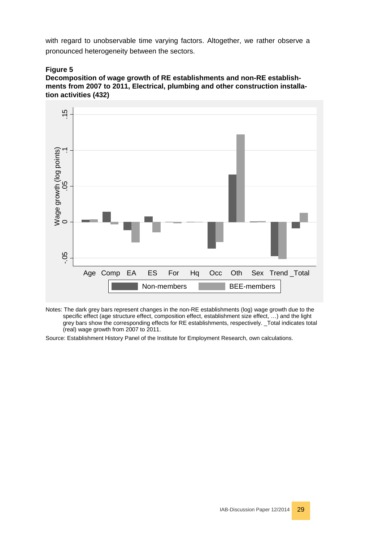with regard to unobservable time varying factors. Altogether, we rather observe a pronounced heterogeneity between the sectors.

#### **Figure 5**

**Decomposition of wage growth of RE establishments and non-RE establishments from 2007 to 2011, Electrical, plumbing and other construction installation activities (432)**



Notes: The dark grey bars represent changes in the non-RE establishments (log) wage growth due to the specific effect (age structure effect, composition effect, establishment size effect, ...) and the light grey bars show the corresponding effects for RE establishments, respectively. \_Total indicates total (real) wage growth from 2007 to 2011.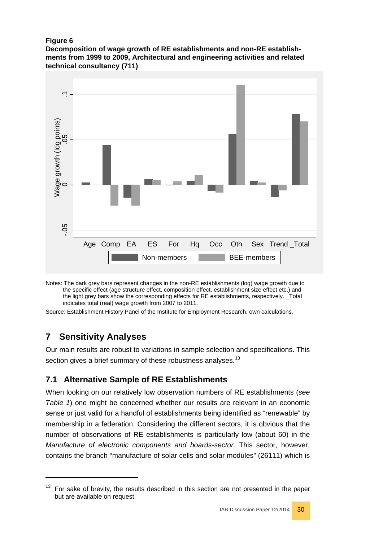#### **Figure 6**

**Decomposition of wage growth of RE establishments and non-RE establishments from 1999 to 2009, Architectural and engineering activities and related technical consultancy (711)**



Notes: The dark grey bars represent changes in the non-RE establishments (log) wage growth due to the specific effect (age structure effect, composition effect, establishment size effect etc.) and the light grey bars show the corresponding effects for RE establishments, respectively. \_Total indicates total (real) wage growth from 2007 to 2011.

Source: Establishment History Panel of the Institute for Employment Research, own calculations.

# <span id="page-29-0"></span>**7 Sensitivity Analyses**

-

Our main results are robust to variations in sample selection and specifications. This section gives a brief summary of these robustness analyses.<sup>[13](#page-29-2)</sup>

# <span id="page-29-1"></span>**7.1 Alternative Sample of RE Establishments**

When looking on our relatively low observation numbers of RE establishments (*see Table 1*) one might be concerned whether our results are relevant in an economic sense or just valid for a handful of establishments being identified as "renewable" by membership in a federation. Considering the different sectors, it is obvious that the number of observations of RE establishments is particularly low (about 60) in the *Manufacture of electronic components and boards-sector.* This sector, however, contains the branch "manufacture of solar cells and solar modules" (26111) which is But are available on request.<br>
The dark grey bars represer<br>
the specific effect (age struct<br>
the light grey bars show the<br>
indicates total (real) wage gr<br>
Irree: Establishment History Pane<br> **Sensitivity Analys**<br> **Sensitivi** 

<span id="page-29-2"></span> $13$  For sake of brevity, the results described in this section are not presented in the paper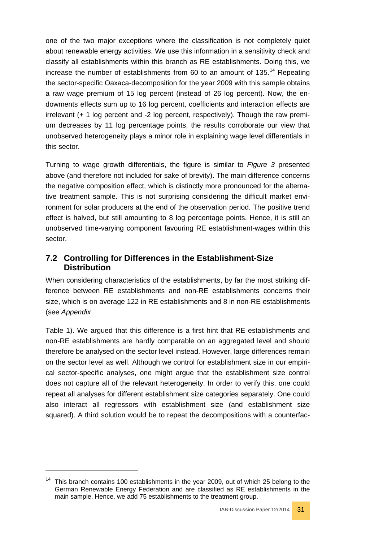one of the two major exceptions where the classification is not completely quiet about renewable energy activities. We use this information in a sensitivity check and classify all establishments within this branch as RE establishments. Doing this, we increase the number of establishments from 60 to an amount of  $135.<sup>14</sup>$  $135.<sup>14</sup>$  $135.<sup>14</sup>$  Repeating the sector-specific Oaxaca-decomposition for the year 2009 with this sample obtains a raw wage premium of 15 log percent (instead of 26 log percent). Now, the endowments effects sum up to 16 log percent, coefficients and interaction effects are irrelevant (+ 1 log percent and -2 log percent, respectively). Though the raw premium decreases by 11 log percentage points, the results corroborate our view that unobserved heterogeneity plays a minor role in explaining wage level differentials in this sector.

Turning to wage growth differentials, the figure is similar to *Figure 3* presented above (and therefore not included for sake of brevity). The main difference concerns the negative composition effect, which is distinctly more pronounced for the alternative treatment sample. This is not surprising considering the difficult market environment for solar producers at the end of the observation period. The positive trend effect is halved, but still amounting to 8 log percentage points. Hence, it is still an unobserved time-varying component favouring RE establishment-wages within this sector.

# <span id="page-30-0"></span>**7.2 Controlling for Differences in the Establishment-Size Distribution**

When considering characteristics of the establishments, by far the most striking difference between RE establishments and non-RE establishments concerns their size, which is on average 122 in RE establishments and 8 in non-RE establishments (see *[Appendix](#page-39-0)*

[Table](#page-39-0) 1). We argued that this difference is a first hint that RE establishments and non-RE establishments are hardly comparable on an aggregated level and should therefore be analysed on the sector level instead. However, large differences remain on the sector level as well. Although we control for establishment size in our empirical sector-specific analyses, one might argue that the establishment size control does not capture all of the relevant heterogeneity. In order to verify this, one could repeat all analyses for different establishment size categories separately. One could also interact all regressors with establishment size (and establishment size squared). A third solution would be to repeat the decompositions with a counterfac-

-



<span id="page-30-1"></span> $14$  This branch contains 100 establishments in the year 2009, out of which 25 belong to the German Renewable Energy Federation and are classified as RE establishments in the main sample. Hence, we add 75 establishments to the treatment group.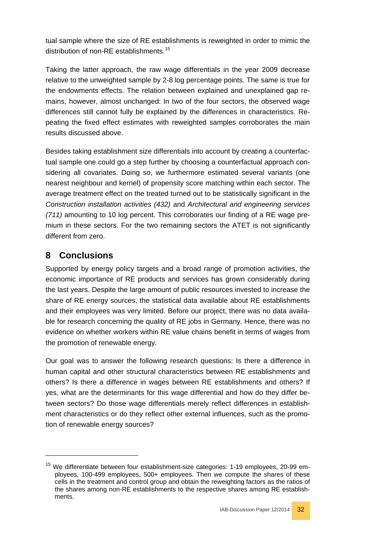tual sample where the size of RE establishments is reweighted in order to mimic the distribution of non-RE establishments. [15](#page-31-1)

Taking the latter approach, the raw wage differentials in the year 2009 decrease relative to the unweighted sample by 2-8 log percentage points. The same is true for the endowments effects. The relation between explained and unexplained gap remains, however, almost unchanged: In two of the four sectors, the observed wage differences still cannot fully be explained by the differences in characteristics. Repeating the fixed effect estimates with reweighted samples corroborates the main results discussed above.

Besides taking establishment size differentials into account by creating a counterfactual sample one could go a step further by choosing a counterfactual approach considering all covariates. Doing so, we furthermore estimated several variants (one nearest neighbour and kernel) of propensity score matching within each sector. The average treatment effect on the treated turned out to be statistically significant in the *Construction installation activities (432)* and *Architectural and engineering services (711)* amounting to 10 log percent. This corroborates our finding of a RE wage premium in these sectors. For the two remaining sectors the ATET is not significantly different from zero.

# <span id="page-31-0"></span>**8 Conclusions**

-

Supported by energy policy targets and a broad range of promotion activities, the economic importance of RE products and services has grown considerably during the last years. Despite the large amount of public resources invested to increase the share of RE energy sources, the statistical data available about RE establishments and their employees was very limited. Before our project, there was no data available for research concerning the quality of RE jobs in Germany. Hence, there was no evidence on whether workers within RE value chains benefit in terms of wages from the promotion of renewable energy.

Our goal was to answer the following research questions: Is there a difference in human capital and other structural characteristics between RE establishments and others? Is there a difference in wages between RE establishments and others? If yes, what are the determinants for this wage differential and how do they differ between sectors? Do those wage differentials merely reflect differences in establishment characteristics or do they reflect other external influences, such as the promotion of renewable energy sources?

<span id="page-31-1"></span><sup>&</sup>lt;sup>15</sup> We differentiate between four establishment-size categories: 1-19 employees, 20-99 employees, 100-499 employees, 500+ employees. Then we compute the shares of these cells in the treatment and control group and obtain the reweighting factors as the ratios of the shares among non-RE establishments to the respective shares among RE establishments.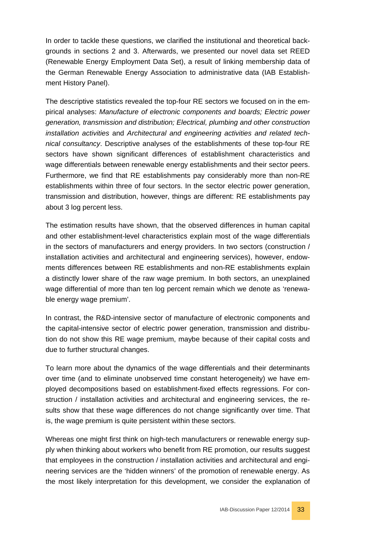In order to tackle these questions, we clarified the institutional and theoretical backgrounds in sections 2 and 3. Afterwards, we presented our novel data set REED (Renewable Energy Employment Data Set), a result of linking membership data of the German Renewable Energy Association to administrative data (IAB Establishment History Panel).

The descriptive statistics revealed the top-four RE sectors we focused on in the empirical analyses: *Manufacture of electronic components and boards; Electric power generation, transmission and distribution; Electrical, plumbing and other construction installation activities* and *Architectural and engineering activities and related technical consultancy*. Descriptive analyses of the establishments of these top-four RE sectors have shown significant differences of establishment characteristics and wage differentials between renewable energy establishments and their sector peers. Furthermore, we find that RE establishments pay considerably more than non-RE establishments within three of four sectors. In the sector electric power generation, transmission and distribution, however, things are different: RE establishments pay about 3 log percent less.

The estimation results have shown, that the observed differences in human capital and other establishment-level characteristics explain most of the wage differentials in the sectors of manufacturers and energy providers. In two sectors (construction / installation activities and architectural and engineering services), however, endowments differences between RE establishments and non-RE establishments explain a distinctly lower share of the raw wage premium. In both sectors, an unexplained wage differential of more than ten log percent remain which we denote as 'renewable energy wage premium'.

In contrast, the R&D-intensive sector of manufacture of electronic components and the capital-intensive sector of electric power generation, transmission and distribution do not show this RE wage premium, maybe because of their capital costs and due to further structural changes.

To learn more about the dynamics of the wage differentials and their determinants over time (and to eliminate unobserved time constant heterogeneity) we have employed decompositions based on establishment-fixed effects regressions. For construction / installation activities and architectural and engineering services, the results show that these wage differences do not change significantly over time. That is, the wage premium is quite persistent within these sectors.

Whereas one might first think on high-tech manufacturers or renewable energy supply when thinking about workers who benefit from RE promotion, our results suggest that employees in the construction / installation activities and architectural and engineering services are the 'hidden winners' of the promotion of renewable energy. As the most likely interpretation for this development, we consider the explanation of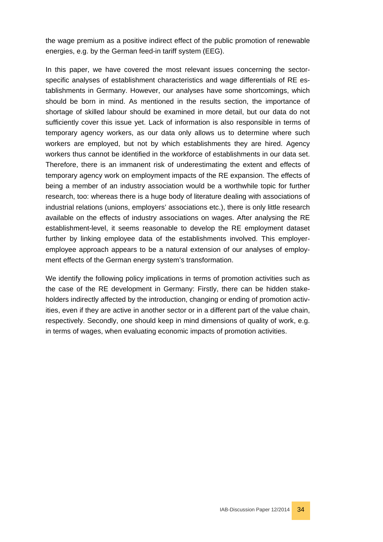the wage premium as a positive indirect effect of the public promotion of renewable energies, e.g. by the German feed-in tariff system (EEG).

In this paper, we have covered the most relevant issues concerning the sectorspecific analyses of establishment characteristics and wage differentials of RE establishments in Germany. However, our analyses have some shortcomings, which should be born in mind. As mentioned in the results section, the importance of shortage of skilled labour should be examined in more detail, but our data do not sufficiently cover this issue yet. Lack of information is also responsible in terms of temporary agency workers, as our data only allows us to determine where such workers are employed, but not by which establishments they are hired. Agency workers thus cannot be identified in the workforce of establishments in our data set. Therefore, there is an immanent risk of underestimating the extent and effects of temporary agency work on employment impacts of the RE expansion. The effects of being a member of an industry association would be a worthwhile topic for further research, too: whereas there is a huge body of literature dealing with associations of industrial relations (unions, employers' associations etc.), there is only little research available on the effects of industry associations on wages. After analysing the RE establishment-level, it seems reasonable to develop the RE employment dataset further by linking employee data of the establishments involved. This employeremployee approach appears to be a natural extension of our analyses of employment effects of the German energy system's transformation.

We identify the following policy implications in terms of promotion activities such as the case of the RE development in Germany: Firstly, there can be hidden stakeholders indirectly affected by the introduction, changing or ending of promotion activities, even if they are active in another sector or in a different part of the value chain, respectively. Secondly, one should keep in mind dimensions of quality of work, e.g. in terms of wages, when evaluating economic impacts of promotion activities.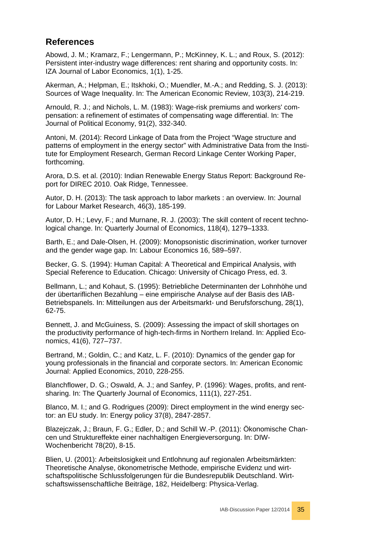# <span id="page-34-0"></span>**References**

Abowd, J. M.; Kramarz, F.; Lengermann, P.; McKinney, K. L.; and Roux, S. (2012): Persistent inter-industry wage differences: rent sharing and opportunity costs. In: IZA Journal of Labor Economics, 1(1), 1-25.

Akerman, A.; Helpman, E.; Itskhoki, O.; Muendler, M.-A.; and Redding, S. J. (2013): Sources of Wage Inequality. In: The American Economic Review, 103(3), 214-219.

Arnould, R. J.; and Nichols, L. M. (1983): Wage-risk premiums and workers' compensation: a refinement of estimates of compensating wage differential. In: The Journal of Political Economy, 91(2), 332-340.

Antoni, M. (2014): Record Linkage of Data from the Project "Wage structure and patterns of employment in the energy sector" with Administrative Data from the Institute for Employment Research, German Record Linkage Center Working Paper, forthcoming.

Arora, D.S. et al. (2010): Indian Renewable Energy Status Report: Background Report for DIREC 2010. Oak Ridge, Tennessee.

Autor, D. H. (2013): The task approach to labor markets : an overview. In: Journal for Labour Market Research, 46(3), 185-199.

Autor, D. H.; Levy, F.; and Murnane, R. J. (2003): The skill content of recent technological change. In: Quarterly Journal of Economics, 118(4), 1279–1333.

Barth, E.; and Dale-Olsen, H. (2009): Monopsonistic discrimination, worker turnover and the gender wage gap. In: Labour Economics 16, 589–597.

Becker, G. S. (1994): Human Capital: A Theoretical and Empirical Analysis, with Special Reference to Education. Chicago: University of Chicago Press, ed. 3.

Bellmann, L.; and Kohaut, S. (1995): Betriebliche Determinanten der Lohnhöhe und der übertariflichen Bezahlung – eine empirische Analyse auf der Basis des IAB-Betriebspanels. In: Mitteilungen aus der Arbeitsmarkt- und Berufsforschung, 28(1), 62-75.

Bennett, J. and McGuiness, S. (2009): Assessing the impact of skill shortages on the productivity performance of high-tech-firms in Northern Ireland. In: Applied Economics, 41(6), 727–737.

Bertrand, M.; Goldin, C.; and Katz, L. F. (2010): Dynamics of the gender gap for young professionals in the financial and corporate sectors. In: American Economic Journal: Applied Economics, 2010, 228-255.

Blanchflower, D. G.; Oswald, A. J.; and Sanfey, P. (1996): Wages, profits, and rentsharing. In: The Quarterly Journal of Economics, 111(1), 227-251.

Blanco, M. I.; and G. Rodrigues (2009): Direct employment in the wind energy sector: an EU study. In: Energy policy 37(8), 2847-2857.

Blazejczak, J.; Braun, F. G.; Edler, D.; and Schill W.-P. (2011): Ökonomische Chancen und Struktureffekte einer nachhaltigen Energieversorgung. In: DIW-Wochenbericht 78(20), 8-15.

Blien, U. (2001): Arbeitslosigkeit und Entlohnung auf regionalen Arbeitsmärkten: Theoretische Analyse, ökonometrische Methode, empirische Evidenz und wirtschaftspolitische Schlussfolgerungen für die Bundesrepublik Deutschland. Wirtschaftswissenschaftliche Beiträge, 182, Heidelberg: Physica-Verlag.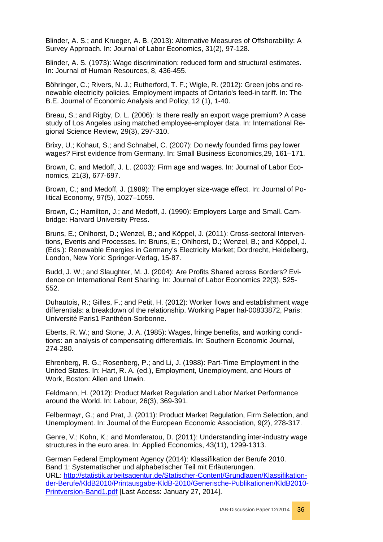Blinder, A. S.; and Krueger, A. B. (2013): Alternative Measures of Offshorability: A Survey Approach. In: Journal of Labor Economics, 31(2), 97-128.

Blinder, A. S. (1973): Wage discrimination: reduced form and structural estimates. In: Journal of Human Resources, 8, 436-455.

Böhringer, C.; Rivers, N. J.; Rutherford, T. F.; Wigle, R. (2012): [Green jobs and re](http://www.iab.de/764/section.aspx/Publikation/k120806n16)[newable electricity policies. Employment impacts of Ontario's feed-in tariff.](http://www.iab.de/764/section.aspx/Publikation/k120806n16) In: The B.E. Journal of Economic Analysis and Policy, 12 (1), 1-40.

Breau, S.; and Rigby, D. L. (2006): Is there really an export wage premium? A case study of Los Angeles using matched employee-employer data. In: International Regional Science Review, 29(3), 297-310.

Brixy, U.; Kohaut, S.; and Schnabel, C. (2007): Do newly founded firms pay lower wages? First evidence from Germany. In: Small Business Economics,29, 161–171.

Brown, C. and Medoff, J. L. (2003): Firm age and wages. In: Journal of Labor Economics, 21(3), 677-697.

Brown, C.; and Medoff, J. (1989): The employer size-wage effect. In: Journal of Political Economy, 97(5), 1027–1059.

Brown, C.; Hamilton, J.; and Medoff, J. (1990): Employers Large and Small. Cambridge: Harvard University Press.

Bruns, E.; Ohlhorst, D.; Wenzel, B.; and Köppel, J. (2011): Cross-sectoral Interventions, Events and Processes. In: Bruns, E.; Ohlhorst, D.; Wenzel, B.; and Köppel, J. (Eds.): Renewable Energies in Germany's Electricity Market; Dordrecht, Heidelberg, London, New York: Springer-Verlag, 15-87.

Budd, J. W.; and Slaughter, M. J. (2004): Are Profits Shared across Borders? Evidence on International Rent Sharing. In: Journal of Labor Economics 22(3), 525- 552.

Duhautois, R.; Gilles, F.; and Petit, H. (2012): Worker flows and establishment wage differentials: a breakdown of the relationship. Working Paper hal-00833872, Paris: Université Paris1 Panthéon-Sorbonne.

Eberts, R. W.; and Stone, J. A. (1985): Wages, fringe benefits, and working conditions: an analysis of compensating differentials. In: Southern Economic Journal, 274-280.

Ehrenberg, R. G.; Rosenberg, P.; and Li, J. (1988): Part-Time Employment in the United States. In: Hart, R. A. (ed.), Employment, Unemployment, and Hours of Work, Boston: Allen and Unwin.

Feldmann, H. (2012): Product Market Regulation and Labor Market Performance around the World. In: Labour, 26(3), 369-391.

Felbermayr, G.; and Prat, J. (2011): Product Market Regulation, Firm Selection, and Unemployment. In: Journal of the European Economic Association, 9(2), 278-317.

Genre, V.; Kohn, K.; and Momferatou, D. (2011): Understanding inter-industry wage structures in the euro area. In: Applied Economics, 43(11), 1299-1313.

German Federal Employment Agency (2014): Klassifikation der Berufe 2010. Band 1: Systematischer und alphabetischer Teil mit Erläuterungen. URL: [http://statistik.arbeitsagentur.de/Statischer-Content/Grundlagen/Klassifikation](http://statistik.arbeitsagentur.de/Statischer-Content/Grundlagen/Klassifikation-der-Berufe/KldB2010/Printausgabe-KldB-2010/Generische-Publikationen/KldB2010-Printversion-Band1.pdf)[der-Berufe/KldB2010/Printausgabe-KldB-2010/Generische-Publikationen/KldB2010-](http://statistik.arbeitsagentur.de/Statischer-Content/Grundlagen/Klassifikation-der-Berufe/KldB2010/Printausgabe-KldB-2010/Generische-Publikationen/KldB2010-Printversion-Band1.pdf) [Printversion-Band1.pdf](http://statistik.arbeitsagentur.de/Statischer-Content/Grundlagen/Klassifikation-der-Berufe/KldB2010/Printausgabe-KldB-2010/Generische-Publikationen/KldB2010-Printversion-Band1.pdf) [Last Access: January 27, 2014].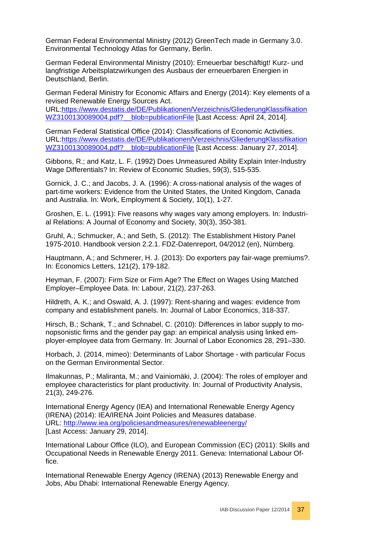German Federal Environmental Ministry (2012) GreenTech made in Germany 3.0. Environmental Technology Atlas for Germany, Berlin.

German Federal Environmental Ministry (2010): Erneuerbar beschäftigt! Kurz- und langfristige Arbeitsplatzwirkungen des Ausbaus der erneuerbaren Energien in Deutschland, Berlin.

German Federal Ministry for Economic Affairs and Energy (2014): Key elements of a revised Renewable Energy Sources Act. URL[:https://www.destatis.de/DE/Publikationen/Verzeichnis/GliederungKlassifikation](https://www.destatis.de/DE/Publikationen/Verzeichnis/GliederungKlassifikationWZ3100130089004.pdf?__blob=publicationFile) WZ3100130089004.pdf? blob=publicationFile [Last Access: April 24, 2014].

German Federal Statistical Office (2014): Classifications of Economic Activities. URL[:https://www.destatis.de/DE/Publikationen/Verzeichnis/GliederungKlassifikation](https://www.destatis.de/DE/Publikationen/Verzeichnis/GliederungKlassifikationWZ3100130089004.pdf?__blob=publicationFile) WZ3100130089004.pdf? blob=publicationFile [Last Access: January 27, 2014].

Gibbons, R.; and Katz, L. F. (1992) Does Unmeasured Ability Explain Inter-Industry Wage Differentials? In: Review of Economic Studies, 59(3), 515-535.

Gornick, J. C.; and Jacobs, J. A. (1996): A cross-national analysis of the wages of part-time workers: Evidence from the United States, the United Kingdom, Canada and Australia. In: Work, Employment & Society, 10(1), 1-27.

Groshen, E. L. (1991): Five reasons why wages vary among employers. In: Industrial Relations: A Journal of Economy and Society, 30(3), 350-381.

Gruhl, A.; Schmucker, A.; and Seth, S. (2012): The Establishment History Panel 1975-2010. Handbook version 2.2.1. FDZ-Datenreport, 04/2012 (en), Nürnberg.

Hauptmann, A.; and Schmerer, H. J. (2013): Do exporters pay fair-wage premiums?. In: Economics Letters, 121(2), 179-182.

Heyman, F. (2007): Firm Size or Firm Age? The Effect on Wages Using Matched Employer–Employee Data. In: Labour, 21(2), 237-263.

Hildreth, A. K.; and Oswald, A. J. (1997): Rent-sharing and wages: evidence from company and establishment panels. In: Journal of Labor Economics, 318-337.

Hirsch, B.; Schank, T.; and Schnabel, C. (2010): Differences in labor supply to monopsonistic firms and the gender pay gap: an empirical analysis using linked employer-employee data from Germany. In: Journal of Labor Economics 28, 291–330.

Horbach, J. (2014, mimeo): Determinants of Labor Shortage - with particular Focus on the German Environmental Sector.

Ilmakunnas, P.; Maliranta, M.; and Vainiomäki, J. (2004): The roles of employer and employee characteristics for plant productivity. In: Journal of Productivity Analysis, 21(3), 249-276.

International Energy Agency (IEA) and International Renewable Energy Agency (IRENA) (2014): IEA/IRENA Joint Policies and Measures database. URL:<http://www.iea.org/policiesandmeasures/renewableenergy/> [Last Access: January 29, 2014].

International Labour Office (ILO), and European Commission (EC) (2011): Skills and Occupational Needs in Renewable Energy 2011. Geneva: International Labour Office.

International Renewable Energy Agency (IRENA) (2013) Renewable Energy and Jobs, Abu Dhabi: International Renewable Energy Agency.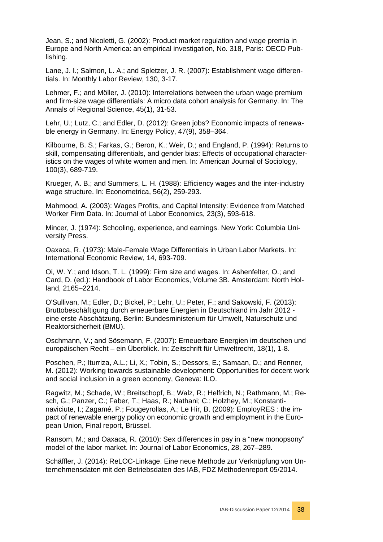Jean, S.; and Nicoletti, G. (2002): Product market regulation and wage premia in Europe and North America: an empirical investigation, No. 318, Paris: OECD Publishing.

Lane, J. I.; Salmon, L. A.; and Spletzer, J. R. (2007): Establishment wage differentials. In: Monthly Labor Review, 130, 3-17.

Lehmer, F.; and Möller, J. (2010): Interrelations between the urban wage premium and firm-size wage differentials: A micro data cohort analysis for Germany. In: The Annals of Regional Science, 45(1), 31-53.

Lehr, U.; Lutz, C.; and Edler, D. (2012): Green jobs? Economic impacts of renewable energy in Germany. In: Energy Policy, 47(9), 358–364.

Kilbourne, B. S.; Farkas, G.; Beron, K.; Weir, D.; and England, P. (1994): Returns to skill, compensating differentials, and gender bias: Effects of occupational characteristics on the wages of white women and men. In: American Journal of Sociology, 100(3), 689-719.

Krueger, A. B.; and Summers, L. H. (1988): Efficiency wages and the inter-industry wage structure. In: Econometrica, 56(2), 259-293.

Mahmood, A. (2003): Wages Profits, and Capital Intensity: Evidence from Matched Worker Firm Data. In: Journal of Labor Economics, 23(3), 593-618.

Mincer, J. (1974): Schooling, experience, and earnings. New York: Columbia University Press.

Oaxaca, R. (1973): Male-Female Wage Differentials in Urban Labor Markets. In: International Economic Review, 14, 693-709.

Oi, W. Y.; and Idson, T. L. (1999): Firm size and wages. In: Ashenfelter, O.; and Card, D. (ed.): Handbook of Labor Economics, Volume 3B. Amsterdam: North Holland, 2165–2214.

O'Sullivan, M.; Edler, D.; Bickel, P.; Lehr, U.; Peter, F.; and Sakowski, F. (2013): Bruttobeschäftigung durch erneuerbare Energien in Deutschland im Jahr 2012 eine erste Abschätzung. Berlin: Bundesministerium für Umwelt, Naturschutz und Reaktorsicherheit (BMU).

Oschmann, V.; and Sösemann, F. (2007): Erneuerbare Energien im deutschen und europäischen Recht – ein Überblick. In: Zeitschrift für Umweltrecht, 18(1), 1-8.

Poschen, P.; Iturriza, A.L.; Li, X.; Tobin, S.; Dessors, E.; Samaan, D.; and Renner, M. (2012): Working towards sustainable development: Opportunities for decent work and social inclusion in a green economy, Geneva: ILO.

Ragwitz, M.; Schade, W.; Breitschopf, B.; Walz, R.; Helfrich, N.; Rathmann, M.; Resch, G.; Panzer, C.; Faber, T.; Haas, R.; Nathani; C.; Holzhey, M.; Konstantinaviciute, I.; Zagamé, P.; Fougeyrollas, A.; Le Hir, B. (2009): EmployRES : the impact of renewable energy policy on economic growth and employment in the European Union, Final report, Brüssel.

Ransom, M.; and Oaxaca, R. (2010): Sex differences in pay in a "new monopsony" model of the labor market. In: Journal of Labor Economics, 28, 267–289.

Schäffler, J. (2014): ReLOC-Linkage. Eine neue Methode zur Verknüpfung von Unternehmensdaten mit den Betriebsdaten des IAB, FDZ Methodenreport 05/2014.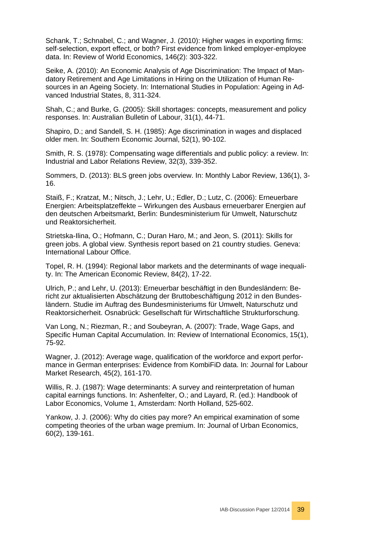Schank, T.; Schnabel, C.; and Wagner, J. (2010): Higher wages in exporting firms: self-selection, export effect, or both? First evidence from linked employer-employee data. In: Review of World Economics, 146(2): 303-322.

Seike, A. (2010): An Economic Analysis of Age Discrimination: The Impact of Mandatory Retirement and Age Limitations in Hiring on the Utilization of Human Resources in an Ageing Society. In: International Studies in Population: Ageing in Advanced Industrial States, 8, 311-324.

Shah, C.; and Burke, G. (2005): Skill shortages: concepts, measurement and policy responses. In: Australian Bulletin of Labour, 31(1), 44-71.

Shapiro, D.; and Sandell, S. H. (1985): Age discrimination in wages and displaced older men. In: Southern Economic Journal, 52(1), 90-102.

Smith, R. S. (1978): Compensating wage differentials and public policy: a review. In: Industrial and Labor Relations Review, 32(3), 339-352.

Sommers, D. (2013): BLS green jobs overview. In: Monthly Labor Review, 136(1), 3- 16.

Staiß, F.; Kratzat, M.; Nitsch, J.; Lehr, U.; Edler, D.; Lutz, C. (2006): Erneuerbare Energien: Arbeitsplatzeffekte – Wirkungen des Ausbaus erneuerbarer Energien auf den deutschen Arbeitsmarkt, Berlin: Bundesministerium für Umwelt, Naturschutz und Reaktorsicherheit.

Strietska-Ilina, O.; Hofmann, C.; Duran Haro, M.; and Jeon, S. (2011): Skills for green jobs. A global view. Synthesis report based on 21 country studies. Geneva: International Labour Office.

Topel, R. H. (1994): Regional labor markets and the determinants of wage inequality. In: The American Economic Review, 84(2), 17-22.

Ulrich, P.; and Lehr, U. (2013): Erneuerbar beschäftigt in den Bundesländern: Bericht zur aktualisierten Abschätzung der Bruttobeschäftigung 2012 in den Bundesländern. Studie im Auftrag des Bundesministeriums für Umwelt, Naturschutz und Reaktorsicherheit. Osnabrück: Gesellschaft für Wirtschaftliche Strukturforschung.

Van Long, N.; Riezman, R.; and Soubeyran, A. (2007): Trade, Wage Gaps, and Specific Human Capital Accumulation. In: Review of International Economics, 15(1), 75-92.

Wagner, J. (2012): Average wage, qualification of the workforce and export performance in German enterprises: Evidence from KombiFiD data. In: Journal for Labour Market Research, 45(2), 161-170.

Willis, R. J. (1987): Wage determinants: A survey and reinterpretation of human capital earnings functions. In: Ashenfelter, O.; and Layard, R. (ed.): Handbook of Labor Economics, Volume 1, Amsterdam: North Holland, 525-602.

Yankow, J. J. (2006): Why do cities pay more? An empirical examination of some competing theories of the urban wage premium. In: Journal of Urban Economics, 60(2), 139-161.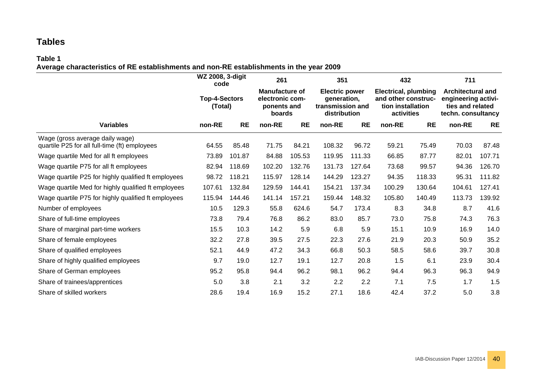# **Tables**

#### **Table 1 Average characteristics of RE establishments and non-RE establishments in the year 2009**

<span id="page-39-0"></span>

|                                                                                  | WZ 2008, 3-digit<br>code        |           | 261                                                               |           | 351                                                                      |           | 432                                                                                   |           | 711                                                                                       |           |  |
|----------------------------------------------------------------------------------|---------------------------------|-----------|-------------------------------------------------------------------|-----------|--------------------------------------------------------------------------|-----------|---------------------------------------------------------------------------------------|-----------|-------------------------------------------------------------------------------------------|-----------|--|
|                                                                                  | <b>Top-4-Sectors</b><br>(Total) |           | <b>Manufacture of</b><br>electronic com-<br>ponents and<br>boards |           | <b>Electric power</b><br>generation,<br>transmission and<br>distribution |           | <b>Electrical, plumbing</b><br>and other construc-<br>tion installation<br>activities |           | <b>Architectural and</b><br>engineering activi-<br>ties and related<br>techn. consultancy |           |  |
| <b>Variables</b>                                                                 | non-RE                          | <b>RE</b> | non-RE                                                            | <b>RE</b> | non-RE                                                                   | <b>RE</b> | non-RE                                                                                | <b>RE</b> | non-RE                                                                                    | <b>RE</b> |  |
| Wage (gross average daily wage)<br>quartile P25 for all full-time (ft) employees | 64.55                           | 85.48     | 71.75                                                             | 84.21     | 108.32                                                                   | 96.72     | 59.21                                                                                 | 75.49     | 70.03                                                                                     | 87.48     |  |
| Wage quartile Med for all ft employees                                           | 73.89                           | 101.87    | 84.88                                                             | 105.53    | 119.95                                                                   | 111.33    | 66.85                                                                                 | 87.77     | 82.01                                                                                     | 107.71    |  |
| Wage quartile P75 for all ft employees                                           | 82.94                           | 118.69    | 102.20                                                            | 132.76    | 131.73                                                                   | 127.64    | 73.68                                                                                 | 99.57     | 94.36                                                                                     | 126.70    |  |
| Wage quartile P25 for highly qualified ft employees                              | 98.72                           | 118.21    | 115.97                                                            | 128.14    | 144.29                                                                   | 123.27    | 94.35                                                                                 | 118.33    | 95.31                                                                                     | 111.82    |  |
| Wage quartile Med for highly qualified ft employees                              | 107.61                          | 132.84    | 129.59                                                            | 144.41    | 154.21                                                                   | 137.34    | 100.29                                                                                | 130.64    | 104.61                                                                                    | 127.41    |  |
| Wage quartile P75 for highly qualified ft employees                              | 115.94                          | 144.46    | 141.14                                                            | 157.21    | 159.44                                                                   | 148.32    | 105.80                                                                                | 140.49    | 113.73                                                                                    | 139.92    |  |
| Number of employees                                                              | 10.5                            | 129.3     | 55.8                                                              | 624.6     | 54.7                                                                     | 173.4     | 8.3                                                                                   | 34.8      | 8.7                                                                                       | 41.6      |  |
| Share of full-time employees                                                     | 73.8                            | 79.4      | 76.8                                                              | 86.2      | 83.0                                                                     | 85.7      | 73.0                                                                                  | 75.8      | 74.3                                                                                      | 76.3      |  |
| Share of marginal part-time workers                                              | 15.5                            | 10.3      | 14.2                                                              | 5.9       | 6.8                                                                      | 5.9       | 15.1                                                                                  | 10.9      | 16.9                                                                                      | 14.0      |  |
| Share of female employees                                                        | 32.2                            | 27.8      | 39.5                                                              | 27.5      | 22.3                                                                     | 27.6      | 21.9                                                                                  | 20.3      | 50.9                                                                                      | 35.2      |  |
| Share of qualified employees                                                     | 52.1                            | 44.9      | 47.2                                                              | 34.3      | 66.8                                                                     | 50.3      | 58.5                                                                                  | 58.6      | 39.7                                                                                      | 30.8      |  |
| Share of highly qualified employees                                              | 9.7                             | 19.0      | 12.7                                                              | 19.1      | 12.7                                                                     | 20.8      | 1.5                                                                                   | 6.1       | 23.9                                                                                      | 30.4      |  |
| Share of German employees                                                        | 95.2                            | 95.8      | 94.4                                                              | 96.2      | 98.1                                                                     | 96.2      | 94.4                                                                                  | 96.3      | 96.3                                                                                      | 94.9      |  |
| Share of trainees/apprentices                                                    | 5.0                             | 3.8       | 2.1                                                               | 3.2       | 2.2                                                                      | 2.2       | 7.1                                                                                   | 7.5       | 1.7                                                                                       | 1.5       |  |
| Share of skilled workers                                                         | 28.6                            | 19.4      | 16.9                                                              | 15.2      | 27.1                                                                     | 18.6      | 42.4                                                                                  | 37.2      | 5.0                                                                                       | 3.8       |  |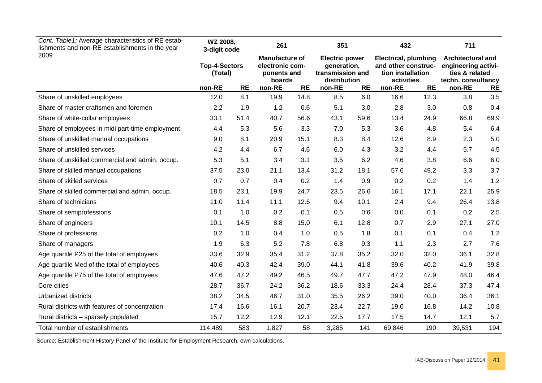| Cont. Table 1: Average characteristics of RE estab-<br>lishments and non-RE establishments in the year |                                 | WZ 2008,<br>3-digit code |                                                                   | 261               |                                                                          | 351              |                                                                                       | 432               | 711                                                                                     |           |  |
|--------------------------------------------------------------------------------------------------------|---------------------------------|--------------------------|-------------------------------------------------------------------|-------------------|--------------------------------------------------------------------------|------------------|---------------------------------------------------------------------------------------|-------------------|-----------------------------------------------------------------------------------------|-----------|--|
| 2009                                                                                                   | <b>Top-4-Sectors</b><br>(Total) |                          | <b>Manufacture of</b><br>electronic com-<br>ponents and<br>boards |                   | <b>Electric power</b><br>generation,<br>transmission and<br>distribution |                  | <b>Electrical, plumbing</b><br>and other construc-<br>tion installation<br>activities |                   | <b>Architectural and</b><br>engineering activi-<br>ties & related<br>techn. consultancy |           |  |
| Share of unskilled employees                                                                           | non-RE<br>12.0                  | <b>RE</b><br>8.1         | non-RE<br>19.9                                                    | <b>RE</b><br>14.8 | non-RE<br>8.5                                                            | <b>RE</b><br>6.0 | non-RE<br>16.6                                                                        | <b>RE</b><br>12.3 | non-RE<br>3.8                                                                           | RE<br>3.5 |  |
|                                                                                                        |                                 |                          |                                                                   |                   |                                                                          |                  |                                                                                       |                   |                                                                                         |           |  |
| Share of master craftsmen and foremen                                                                  | 2.2                             | 1.9                      | 1.2                                                               | 0.6               | 5.1                                                                      | 3.0              | 2.8                                                                                   | 3.0               | 0.8                                                                                     | 0.4       |  |
| Share of white-collar employees                                                                        | 33.1                            | 51.4                     | 40.7                                                              | 56.6              | 43.1                                                                     | 59.6             | 13.4                                                                                  | 24.9              | 66.8                                                                                    | 69.9      |  |
| Share of employees in midi part-time employment                                                        | 4.4                             | 5.3                      | 5.6                                                               | 3.3               | 7.0                                                                      | 5.3              | 3.6                                                                                   | 4.8               | 5.4                                                                                     | 6.4       |  |
| Share of unskilled manual occupations                                                                  | 9.0                             | 8.1                      | 20.9                                                              | 15.1              | 8.3                                                                      | 8.4              | 12.6                                                                                  | 8.9               | 2.3                                                                                     | 5.0       |  |
| Share of unskilled services                                                                            | 4.2                             | 4.4                      | 6.7                                                               | 4.6               | 6.0                                                                      | 4.3              | 3.2                                                                                   | 4.4               | 5.7                                                                                     | 4.5       |  |
| Share of unskilled commercial and admin. occup.                                                        | 5.3                             | 5.1                      | 3.4                                                               | 3.1               | 3.5                                                                      | 6.2              | 4.6                                                                                   | 3.8               | 6.6                                                                                     | 6.0       |  |
| Share of skilled manual occupations                                                                    | 37.5                            | 23.0                     | 21.1                                                              | 13.4              | 31.2                                                                     | 18.1             | 57.6                                                                                  | 49.2              | 3.3                                                                                     | 3.7       |  |
| Share of skilled services                                                                              | 0.7                             | 0.7                      | 0.4                                                               | 0.2               | 1.4                                                                      | 0.9              | 0.2                                                                                   | 0.2               | 1.4                                                                                     | 1.2       |  |
| Share of skilled commercial and admin. occup.                                                          | 18.5                            | 23.1                     | 19.9                                                              | 24.7              | 23.5                                                                     | 26.6             | 16.1                                                                                  | 17.1              | 22.1                                                                                    | 25.9      |  |
| Share of technicians                                                                                   | 11.0                            | 11.4                     | 11.1                                                              | 12.6              | 9.4                                                                      | 10.1             | 2.4                                                                                   | 9.4               | 26.4                                                                                    | 13.8      |  |
| Share of semiprofessions                                                                               | 0.1                             | 1.0                      | 0.2                                                               | 0.1               | 0.5                                                                      | 0.6              | 0.0                                                                                   | 0.1               | 0.2                                                                                     | 2.5       |  |
| Share of engineers                                                                                     | 10.1                            | 14.5                     | 8.8                                                               | 15.0              | 6.1                                                                      | 12.8             | 0.7                                                                                   | 2.9               | 27.1                                                                                    | 27.0      |  |
| Share of professions                                                                                   | 0.2                             | 1.0                      | 0.4                                                               | 1.0               | 0.5                                                                      | 1.8              | 0.1                                                                                   | 0.1               | 0.4                                                                                     | 1.2       |  |
| Share of managers                                                                                      | 1.9                             | 6.3                      | 5.2                                                               | 7.8               | 6.8                                                                      | 9.3              | 1.1                                                                                   | 2.3               | 2.7                                                                                     | 7.6       |  |
| Age quartile P25 of the total of employees                                                             | 33.6                            | 32.9                     | 35.4                                                              | 31.2              | 37.8                                                                     | 35.2             | 32.0                                                                                  | 32.0              | 36.1                                                                                    | 32.8      |  |
| Age quartile Med of the total of employees                                                             | 40.6                            | 40.3                     | 42.4                                                              | 39.0              | 44.1                                                                     | 41.8             | 39.6                                                                                  | 40.2              | 41.9                                                                                    | 39.8      |  |
| Age quartile P75 of the total of employees                                                             | 47.6                            | 47.2                     | 49.2                                                              | 46.5              | 49.7                                                                     | 47.7             | 47.2                                                                                  | 47.9              | 48.0                                                                                    | 46.4      |  |
| Core cities                                                                                            | 28.7                            | 36.7                     | 24.2                                                              | 36.2              | 18.6                                                                     | 33.3             | 24.4                                                                                  | 28.4              | 37.3                                                                                    | 47.4      |  |
| Urbanized districts                                                                                    | 38.2                            | 34.5                     | 46.7                                                              | 31.0              | 35.5                                                                     | 26.2             | 39.0                                                                                  | 40.0              | 36.4                                                                                    | 36.1      |  |
| Rural districts with features of concentration                                                         | 17.4                            | 16.6                     | 16.1                                                              | 20.7              | 23.4                                                                     | 22.7             | 19.0                                                                                  | 16.8              | 14.2                                                                                    | 10.8      |  |
| Rural districts – sparsely populated                                                                   | 15.7                            | 12.2                     | 12.9                                                              | 12.1              | 22.5                                                                     | 17.7             | 17.5                                                                                  | 14.7              | 12.1                                                                                    | 5.7       |  |
| Total number of establishments                                                                         | 114,489                         | 583                      | 1,827                                                             | 58                | 3,285                                                                    | 141              | 69,846                                                                                | 190               | 39,531                                                                                  | 194       |  |

Source: Establishment History Panel of the Institute for Employment Research, own calculations.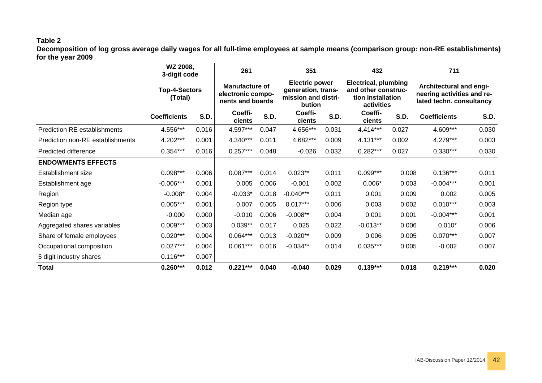#### **Table 2**

**Decomposition of log gross average daily wages for all full-time employees at sample means (comparison group: non-RE establishments) for the year 2009**

<span id="page-41-0"></span>

|                                     | WZ 2008,<br>3-digit code<br><b>Top-4-Sectors</b><br>(Total) |             | 261                                                            |       |                                                                              | 351         |                                                                                       |       | 711                                                                               |       |
|-------------------------------------|-------------------------------------------------------------|-------------|----------------------------------------------------------------|-------|------------------------------------------------------------------------------|-------------|---------------------------------------------------------------------------------------|-------|-----------------------------------------------------------------------------------|-------|
|                                     |                                                             |             | <b>Manufacture of</b><br>electronic compo-<br>nents and boards |       | <b>Electric power</b><br>generation, trans-<br>mission and distri-<br>bution |             | <b>Electrical, plumbing</b><br>and other construc-<br>tion installation<br>activities |       | Architectural and engi-<br>neering activities and re-<br>lated techn. consultancy |       |
|                                     | <b>Coefficients</b>                                         | <b>S.D.</b> | Coeffi-<br>cients                                              | S.D.  | Coeffi-<br>cients                                                            | <b>S.D.</b> | Coeffi-<br>cients                                                                     | S.D.  | <b>Coefficients</b>                                                               | S.D.  |
| <b>Prediction RE establishments</b> | 4.556***                                                    | 0.016       | 4.597***                                                       | 0.047 | 4.656***                                                                     | 0.031       | 4.414***                                                                              | 0.027 | 4.609***                                                                          | 0.030 |
| Prediction non-RE establishments    | 4.202***                                                    | 0.001       | 4.340***                                                       | 0.011 | 4.682***                                                                     | 0.009       | 4.131***                                                                              | 0.002 | 4.279***                                                                          | 0.003 |
| Predicted difference                | $0.354***$                                                  | 0.016       | $0.257***$                                                     | 0.048 | $-0.026$                                                                     | 0.032       | $0.282***$                                                                            | 0.027 | $0.330***$                                                                        | 0.030 |
| <b>ENDOWMENTS EFFECTS</b>           |                                                             |             |                                                                |       |                                                                              |             |                                                                                       |       |                                                                                   |       |
| Establishment size                  | $0.098***$                                                  | 0.006       | $0.087***$                                                     | 0.014 | $0.023**$                                                                    | 0.011       | $0.099***$                                                                            | 0.008 | $0.136***$                                                                        | 0.011 |
| Establishment age                   | $-0.006***$                                                 | 0.001       | 0.005                                                          | 0.006 | $-0.001$                                                                     | 0.002       | $0.006*$                                                                              | 0.003 | $-0.004***$                                                                       | 0.001 |
| Region                              | $-0.008*$                                                   | 0.004       | $-0.033*$                                                      | 0.018 | $-0.040***$                                                                  | 0.011       | 0.001                                                                                 | 0.009 | 0.002                                                                             | 0.005 |
| Region type                         | $0.005***$                                                  | 0.001       | 0.007                                                          | 0.005 | $0.017***$                                                                   | 0.006       | 0.003                                                                                 | 0.002 | $0.010***$                                                                        | 0.003 |
| Median age                          | $-0.000$                                                    | 0.000       | $-0.010$                                                       | 0.006 | $-0.008**$                                                                   | 0.004       | 0.001                                                                                 | 0.001 | $-0.004***$                                                                       | 0.001 |
| Aggregated shares variables         | $0.009***$                                                  | 0.003       | $0.039**$                                                      | 0.017 | 0.025                                                                        | 0.022       | $-0.013**$                                                                            | 0.006 | $0.010*$                                                                          | 0.006 |
| Share of female employees           | $0.020***$                                                  | 0.004       | $0.064***$                                                     | 0.013 | $-0.020**$                                                                   | 0.009       | 0.006                                                                                 | 0.005 | $0.070***$                                                                        | 0.007 |
| Occupational composition            | $0.027***$                                                  | 0.004       | $0.061***$                                                     | 0.016 | $-0.034**$                                                                   | 0.014       | $0.035***$                                                                            | 0.005 | $-0.002$                                                                          | 0.007 |
| 5 digit industry shares             | $0.116***$                                                  | 0.007       |                                                                |       |                                                                              |             |                                                                                       |       |                                                                                   |       |
| Total                               | $0.260***$                                                  | 0.012       | $0.221***$                                                     | 0.040 | $-0.040$                                                                     | 0.029       | $0.139***$                                                                            | 0.018 | $0.219***$                                                                        | 0.020 |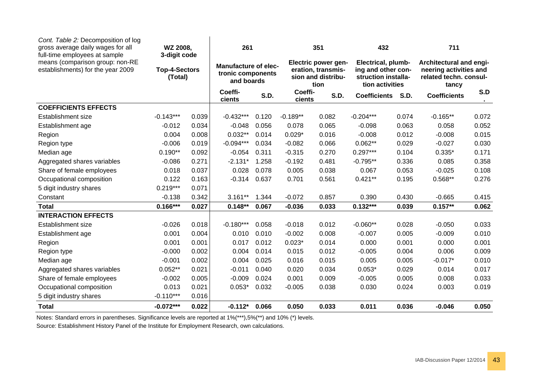| Cont. Table 2: Decomposition of log<br>gross average daily wages for all<br>full-time employees at sample | WZ 2008,<br>3-digit code        |       | 261                                                            |       |                                                                                | 351         |                                                                                    |             | 711                                                                                  |       |
|-----------------------------------------------------------------------------------------------------------|---------------------------------|-------|----------------------------------------------------------------|-------|--------------------------------------------------------------------------------|-------------|------------------------------------------------------------------------------------|-------------|--------------------------------------------------------------------------------------|-------|
| means (comparison group: non-RE<br>establishments) for the year 2009                                      | <b>Top-4-Sectors</b><br>(Total) |       | <b>Manufacture of elec-</b><br>tronic components<br>and boards |       | <b>Electric power gen-</b><br>eration, transmis-<br>sion and distribu-<br>tion |             | Electrical, plumb-<br>ing and other con-<br>struction installa-<br>tion activities |             | Architectural and engi-<br>neering activities and<br>related techn. consul-<br>tancy |       |
|                                                                                                           |                                 |       | Coeffi-<br>cients                                              | S.D.  | Coeffi-<br>cients                                                              | <b>S.D.</b> | <b>Coefficients</b>                                                                | <b>S.D.</b> | <b>Coefficients</b>                                                                  | S.D   |
| <b>COEFFICIENTS EFFECTS</b>                                                                               |                                 |       |                                                                |       |                                                                                |             |                                                                                    |             |                                                                                      |       |
| Establishment size                                                                                        | $-0.143***$                     | 0.039 | $-0.432***$                                                    | 0.120 | $-0.189**$                                                                     | 0.082       | $-0.204***$                                                                        | 0.074       | $-0.165**$                                                                           | 0.072 |
| Establishment age                                                                                         | $-0.012$                        | 0.034 | $-0.048$                                                       | 0.056 | 0.078                                                                          | 0.065       | $-0.098$                                                                           | 0.063       | 0.058                                                                                | 0.052 |
| Region                                                                                                    | 0.004                           | 0.008 | $0.032**$                                                      | 0.014 | $0.029*$                                                                       | 0.016       | $-0.008$                                                                           | 0.012       | $-0.008$                                                                             | 0.015 |
| Region type                                                                                               | $-0.006$                        | 0.019 | $-0.094***$                                                    | 0.034 | $-0.082$                                                                       | 0.066       | $0.062**$                                                                          | 0.029       | $-0.027$                                                                             | 0.030 |
| Median age                                                                                                | $0.190**$                       | 0.092 | $-0.054$                                                       | 0.311 | $-0.315$                                                                       | 0.270       | $0.297***$                                                                         | 0.104       | $0.335*$                                                                             | 0.171 |
| Aggregated shares variables                                                                               | $-0.086$                        | 0.271 | $-2.131*$                                                      | 1.258 | $-0.192$                                                                       | 0.481       | $-0.795**$                                                                         | 0.336       | 0.085                                                                                | 0.358 |
| Share of female employees                                                                                 | 0.018                           | 0.037 | 0.028                                                          | 0.078 | 0.005                                                                          | 0.038       | 0.067                                                                              | 0.053       | $-0.025$                                                                             | 0.108 |
| Occupational composition                                                                                  | 0.122                           | 0.163 | $-0.314$                                                       | 0.637 | 0.701                                                                          | 0.561       | $0.421**$                                                                          | 0.195       | $0.568**$                                                                            | 0.276 |
| 5 digit industry shares                                                                                   | $0.219***$                      | 0.071 |                                                                |       |                                                                                |             |                                                                                    |             |                                                                                      |       |
| Constant                                                                                                  | $-0.138$                        | 0.342 | $3.161**$                                                      | 1.344 | $-0.072$                                                                       | 0.857       | 0.390                                                                              | 0.430       | $-0.665$                                                                             | 0.415 |
| <b>Total</b>                                                                                              | $0.166***$                      | 0.027 | $0.148**$                                                      | 0.067 | $-0.036$                                                                       | 0.033       | $0.132***$                                                                         | 0.039       | $0.157**$                                                                            | 0.062 |
| <b>INTERACTION EFFECTS</b>                                                                                |                                 |       |                                                                |       |                                                                                |             |                                                                                    |             |                                                                                      |       |
| Establishment size                                                                                        | $-0.026$                        | 0.018 | $-0.180***$                                                    | 0.058 | $-0.018$                                                                       | 0.012       | $-0.060**$                                                                         | 0.028       | $-0.050$                                                                             | 0.033 |
| Establishment age                                                                                         | 0.001                           | 0.004 | 0.010                                                          | 0.010 | $-0.002$                                                                       | 0.008       | $-0.007$                                                                           | 0.005       | $-0.009$                                                                             | 0.010 |
| Region                                                                                                    | 0.001                           | 0.001 | 0.017                                                          | 0.012 | $0.023*$                                                                       | 0.014       | 0.000                                                                              | 0.001       | 0.000                                                                                | 0.001 |
| Region type                                                                                               | $-0.000$                        | 0.002 | 0.004                                                          | 0.014 | 0.015                                                                          | 0.012       | $-0.005$                                                                           | 0.004       | 0.006                                                                                | 0.009 |
| Median age                                                                                                | $-0.001$                        | 0.002 | 0.004                                                          | 0.025 | 0.016                                                                          | 0.015       | 0.005                                                                              | 0.005       | $-0.017*$                                                                            | 0.010 |
| Aggregated shares variables                                                                               | $0.052**$                       | 0.021 | $-0.011$                                                       | 0.040 | 0.020                                                                          | 0.034       | $0.053*$                                                                           | 0.029       | 0.014                                                                                | 0.017 |
| Share of female employees                                                                                 | $-0.002$                        | 0.005 | $-0.009$                                                       | 0.024 | 0.001                                                                          | 0.009       | $-0.005$                                                                           | 0.005       | 0.008                                                                                | 0.033 |
| Occupational composition                                                                                  | 0.013                           | 0.021 | $0.053*$                                                       | 0.032 | $-0.005$                                                                       | 0.038       | 0.030                                                                              | 0.024       | 0.003                                                                                | 0.019 |
| 5 digit industry shares                                                                                   | $-0.110***$                     | 0.016 |                                                                |       |                                                                                |             |                                                                                    |             |                                                                                      |       |
| <b>Total</b>                                                                                              | $-0.072***$                     | 0.022 | $-0.112*$                                                      | 0.066 | 0.050                                                                          | 0.033       | 0.011                                                                              | 0.036       | $-0.046$                                                                             | 0.050 |

Notes: Standard errors in parentheses. Significance levels are reported at 1%(\*\*\*),5%(\*\*) and 10% (\*) levels.

Source: Establishment History Panel of the Institute for Employment Research, own calculations.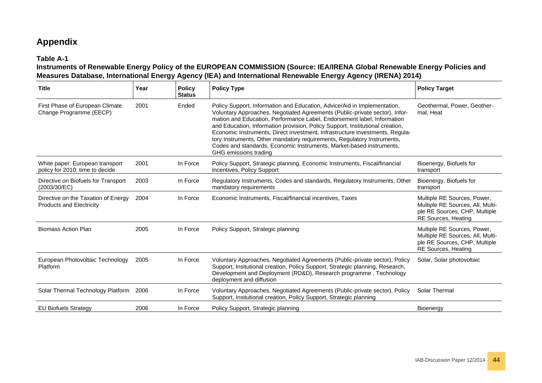# **Appendix**

#### **Table A-1**

#### **Instruments of Renewable Energy Policy of the EUROPEAN COMMISSION (Source: IEA/IRENA Global Renewable Energy Policies and Measures Database, International Energy Agency (IEA) and International Renewable Energy Agency (IRENA) 2014)**

<span id="page-43-0"></span>

| <b>Title</b>                                                           | Year | <b>Policy</b><br><b>Status</b> | <b>Policy Type</b>                                                                                                                                                                                                                                                                                                                                                                                                                                                                                                                                                              | <b>Policy Target</b>                                                                                                           |
|------------------------------------------------------------------------|------|--------------------------------|---------------------------------------------------------------------------------------------------------------------------------------------------------------------------------------------------------------------------------------------------------------------------------------------------------------------------------------------------------------------------------------------------------------------------------------------------------------------------------------------------------------------------------------------------------------------------------|--------------------------------------------------------------------------------------------------------------------------------|
| First Phase of European Climate<br>Change Programme (EECP)             | 2001 | Ended                          | Policy Support, Information and Education, Advice/Aid in Implementation,<br>Voluntary Approaches, Negotiated Agreements (Public-private sector), Infor-<br>mation and Education, Performance Label, Endorsement label, Information<br>and Education, Information provision, Policy Support, Institutional creation,<br>Economic Instruments, Direct investment, Infrastructure investments, Regula-<br>tory Instruments, Other mandatory requirements, Regulatory Instruments,<br>Codes and standards, Economic Instruments, Market-based instruments,<br>GHG emissions trading | Geothermal, Power, Geother-<br>mal, Heat                                                                                       |
| White paper: European transport<br>policy for 2010: time to decide     | 2001 | In Force                       | Policy Support, Strategic planning, Economic Instruments, Fiscal/financial<br>incentives, Policy Support                                                                                                                                                                                                                                                                                                                                                                                                                                                                        | Bioenergy, Biofuels for<br>transport                                                                                           |
| Directive on Biofuels for Transport<br>(2003/30/EC)                    | 2003 | In Force                       | Regulatory Instruments, Codes and standards, Regulatory Instruments, Other<br>mandatory requirements                                                                                                                                                                                                                                                                                                                                                                                                                                                                            | Bioenergy, Biofuels for<br>transport                                                                                           |
| Directive on the Taxation of Energy<br><b>Products and Electricity</b> | 2004 | In Force                       | Economic Instruments, Fiscal/financial incentives, Taxes                                                                                                                                                                                                                                                                                                                                                                                                                                                                                                                        | Multiple RE Sources, Power,<br>Multiple RE Sources, All, Multi-<br>ple RE Sources, CHP, Multiple<br><b>RE Sources, Heating</b> |
| <b>Biomass Action Plan</b>                                             | 2005 | In Force                       | Policy Support, Strategic planning                                                                                                                                                                                                                                                                                                                                                                                                                                                                                                                                              | Multiple RE Sources, Power,<br>Multiple RE Sources, All, Multi-<br>ple RE Sources, CHP, Multiple<br><b>RE Sources, Heating</b> |
| European Photovoltaic Technology<br>Platform                           | 2005 | In Force                       | Voluntary Approaches, Negotiated Agreements (Public-private sector), Policy<br>Support, Insitutional creation, Policy Support, Strategic planning, Research,<br>Development and Deployment (RD&D), Research programme, Technology<br>deployment and diffusion                                                                                                                                                                                                                                                                                                                   | Solar, Solar photovoltaic                                                                                                      |
| Solar Thermal Technology Platform                                      | 2006 | In Force                       | Voluntary Approaches, Negotiated Agreements (Public-private sector), Policy<br>Support, Insitutional creation, Policy Support, Strategic planning                                                                                                                                                                                                                                                                                                                                                                                                                               | Solar Thermal                                                                                                                  |
| <b>EU Biofuels Strategy</b>                                            | 2006 | In Force                       | Policy Support, Strategic planning                                                                                                                                                                                                                                                                                                                                                                                                                                                                                                                                              | Bioenergy                                                                                                                      |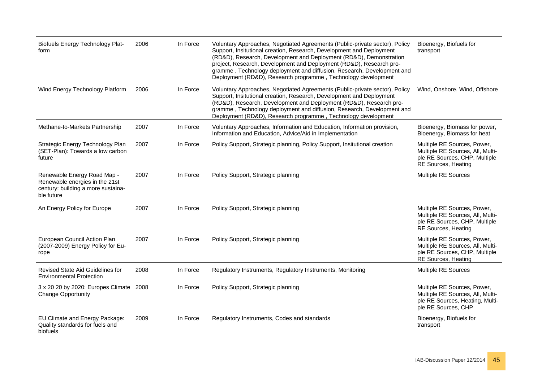| <b>Biofuels Energy Technology Plat-</b><br>form                                                                   | 2006 | In Force | Voluntary Approaches, Negotiated Agreements (Public-private sector), Policy<br>Support, Insitutional creation, Research, Development and Deployment<br>(RD&D), Research, Development and Deployment (RD&D), Demonstration<br>project, Research, Development and Deployment (RD&D), Research pro-<br>gramme, Technology deployment and diffusion, Research, Development and<br>Deployment (RD&D), Research programme, Technology development | Bioenergy, Biofuels for<br>transport                                                                                           |
|-------------------------------------------------------------------------------------------------------------------|------|----------|---------------------------------------------------------------------------------------------------------------------------------------------------------------------------------------------------------------------------------------------------------------------------------------------------------------------------------------------------------------------------------------------------------------------------------------------|--------------------------------------------------------------------------------------------------------------------------------|
| Wind Energy Technology Platform                                                                                   | 2006 | In Force | Voluntary Approaches, Negotiated Agreements (Public-private sector), Policy<br>Support, Insitutional creation, Research, Development and Deployment<br>(RD&D), Research, Development and Deployment (RD&D), Research pro-<br>gramme, Technology deployment and diffusion, Research, Development and<br>Deployment (RD&D), Research programme, Technology development                                                                        | Wind, Onshore, Wind, Offshore                                                                                                  |
| Methane-to-Markets Partnership                                                                                    | 2007 | In Force | Voluntary Approaches, Information and Education, Information provision,<br>Information and Education, Advice/Aid in Implementation                                                                                                                                                                                                                                                                                                          | Bioenergy, Biomass for power,<br>Bioenergy, Biomass for heat                                                                   |
| Strategic Energy Technology Plan<br>(SET-Plan): Towards a low carbon<br>future                                    | 2007 | In Force | Policy Support, Strategic planning, Policy Support, Insitutional creation                                                                                                                                                                                                                                                                                                                                                                   | Multiple RE Sources, Power,<br>Multiple RE Sources, All, Multi-<br>ple RE Sources, CHP, Multiple<br>RE Sources, Heating        |
| Renewable Energy Road Map -<br>Renewable energies in the 21st<br>century: building a more sustaina-<br>ble future | 2007 | In Force | Policy Support, Strategic planning                                                                                                                                                                                                                                                                                                                                                                                                          | Multiple RE Sources                                                                                                            |
| An Energy Policy for Europe                                                                                       | 2007 | In Force | Policy Support, Strategic planning                                                                                                                                                                                                                                                                                                                                                                                                          | Multiple RE Sources, Power,<br>Multiple RE Sources, All, Multi-<br>ple RE Sources, CHP, Multiple<br>RE Sources, Heating        |
| European Council Action Plan<br>(2007-2009) Energy Policy for Eu-<br>rope                                         | 2007 | In Force | Policy Support, Strategic planning                                                                                                                                                                                                                                                                                                                                                                                                          | Multiple RE Sources, Power,<br>Multiple RE Sources, All, Multi-<br>ple RE Sources, CHP, Multiple<br><b>RE Sources, Heating</b> |
| Revised State Aid Guidelines for<br><b>Environmental Protection</b>                                               | 2008 | In Force | Regulatory Instruments, Regulatory Instruments, Monitoring                                                                                                                                                                                                                                                                                                                                                                                  | Multiple RE Sources                                                                                                            |
| 3 x 20 20 by 2020: Europes Climate 2008<br><b>Change Opportunity</b>                                              |      | In Force | Policy Support, Strategic planning                                                                                                                                                                                                                                                                                                                                                                                                          | Multiple RE Sources, Power,<br>Multiple RE Sources, All, Multi-<br>ple RE Sources, Heating, Multi-<br>ple RE Sources, CHP      |
| EU Climate and Energy Package:<br>Quality standards for fuels and<br>biofuels                                     | 2009 | In Force | Regulatory Instruments, Codes and standards                                                                                                                                                                                                                                                                                                                                                                                                 | Bioenergy, Biofuels for<br>transport                                                                                           |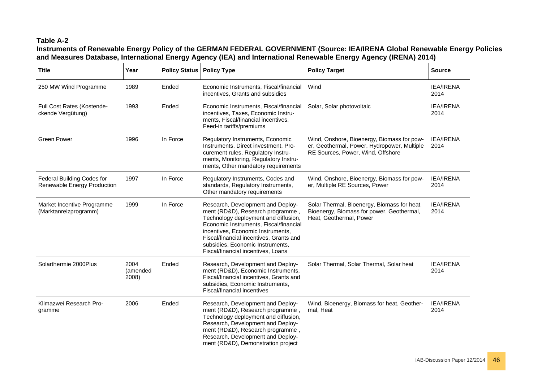# **Table A-2**

#### **Instruments of Renewable Energy Policy of the GERMAN FEDERAL GOVERNMENT (Source: IEA/IRENA Global Renewable Energy Policies and Measures Database, International Energy Agency (IEA) and International Renewable Energy Agency (IRENA) 2014)**

| <b>Title</b>                                              | Year                      | <b>Policy Status</b> | <b>Policy Type</b>                                                                                                                                                                                                                                                                                                | <b>Policy Target</b>                                                                                                           | <b>Source</b>            |
|-----------------------------------------------------------|---------------------------|----------------------|-------------------------------------------------------------------------------------------------------------------------------------------------------------------------------------------------------------------------------------------------------------------------------------------------------------------|--------------------------------------------------------------------------------------------------------------------------------|--------------------------|
| 250 MW Wind Programme                                     | 1989                      | Ended                | Economic Instruments, Fiscal/financial<br>incentives, Grants and subsidies                                                                                                                                                                                                                                        | Wind                                                                                                                           | <b>IEA/IRENA</b><br>2014 |
| Full Cost Rates (Kostende-<br>ckende Vergütung)           | 1993                      | Ended                | Economic Instruments, Fiscal/financial<br>incentives, Taxes, Economic Instru-<br>ments, Fiscal/financial incentives,<br>Feed-in tariffs/premiums                                                                                                                                                                  | Solar, Solar photovoltaic                                                                                                      | <b>IEA/IRENA</b><br>2014 |
| <b>Green Power</b>                                        | 1996                      | In Force             | Regulatory Instruments, Economic<br>Instruments, Direct investment, Pro-<br>curement rules, Regulatory Instru-<br>ments, Monitoring, Regulatory Instru-<br>ments, Other mandatory requirements                                                                                                                    | Wind, Onshore, Bioenergy, Biomass for pow-<br>er, Geothermal, Power, Hydropower, Multiple<br>RE Sources, Power, Wind, Offshore | <b>IEA/IRENA</b><br>2014 |
| Federal Building Codes for<br>Renewable Energy Production | 1997                      | In Force             | Regulatory Instruments, Codes and<br>standards, Regulatory Instruments,<br>Other mandatory requirements                                                                                                                                                                                                           | Wind, Onshore, Bioenergy, Biomass for pow-<br>er, Multiple RE Sources, Power                                                   | <b>IEA/IRENA</b><br>2014 |
| Market Incentive Programme<br>(Marktanreizprogramm)       | 1999                      | In Force             | Research, Development and Deploy-<br>ment (RD&D), Research programme,<br>Technology deployment and diffusion,<br>Economic Instruments, Fiscal/financial<br>incentives, Economic Instruments,<br>Fiscal/financial incentives, Grants and<br>subsidies, Economic Instruments,<br>Fiscal/financial incentives, Loans | Solar Thermal, Bioenergy, Biomass for heat,<br>Bioenergy, Biomass for power, Geothermal,<br>Heat, Geothermal, Power            | <b>IEA/IRENA</b><br>2014 |
| Solarthermie 2000Plus                                     | 2004<br>(amended<br>2008) | Ended                | Research, Development and Deploy-<br>ment (RD&D), Economic Instruments,<br>Fiscal/financial incentives, Grants and<br>subsidies, Economic Instruments,<br>Fiscal/financial incentives                                                                                                                             | Solar Thermal, Solar Thermal, Solar heat                                                                                       | <b>IEA/IRENA</b><br>2014 |
| Klimazwei Research Pro-<br>gramme                         | 2006                      | Ended                | Research, Development and Deploy-<br>ment (RD&D), Research programme,<br>Technology deployment and diffusion,<br>Research, Development and Deploy-<br>ment (RD&D), Research programme,<br>Research, Development and Deploy-<br>ment (RD&D), Demonstration project                                                 | Wind, Bioenergy, Biomass for heat, Geother-<br>mal, Heat                                                                       | <b>IEA/IRENA</b><br>2014 |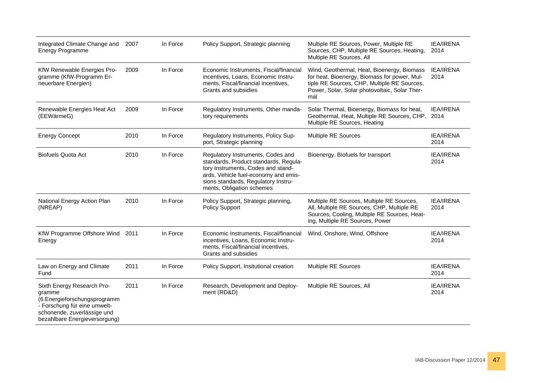| Integrated Climate Change and<br><b>Energy Programme</b>                                                                                                             | 2007 | In Force | Policy Support, Strategic planning                                                                                                                                                                                           | Multiple RE Sources, Power, Multiple RE<br>Sources, CHP, Multiple RE Sources, Heating,<br>Multiple RE Sources, All                                                                                | <b>IEA/IRENA</b><br>2014 |
|----------------------------------------------------------------------------------------------------------------------------------------------------------------------|------|----------|------------------------------------------------------------------------------------------------------------------------------------------------------------------------------------------------------------------------------|---------------------------------------------------------------------------------------------------------------------------------------------------------------------------------------------------|--------------------------|
| KfW Renewable Energies Pro-<br>gramme (KfW-Programm Er-<br>neuerbare Energien)                                                                                       | 2009 | In Force | Economic Instruments, Fiscal/financial<br>incentives, Loans, Economic Instru-<br>ments, Fiscal/financial incentives,<br>Grants and subsidies                                                                                 | Wind, Geothermal, Heat, Bioenergy, Biomass<br>for heat, Bioenergy, Biomass for power, Mul-<br>tiple RE Sources, CHP, Multiple RE Sources,<br>Power, Solar, Solar photovoltaic, Solar Ther-<br>mal | <b>IEA/IRENA</b><br>2014 |
| Renewable Energies Heat Act<br>(EEWärmeG)                                                                                                                            | 2009 | In Force | Regulatory Instruments, Other manda-<br>tory requirements                                                                                                                                                                    | Solar Thermal, Bioenergy, Biomass for heat,<br>Geothermal, Heat, Multiple RE Sources, CHP,<br>Multiple RE Sources, Heating                                                                        | <b>IEA/IRENA</b><br>2014 |
| <b>Energy Concept</b>                                                                                                                                                | 2010 | In Force | Regulatory Instruments, Policy Sup-<br>port, Strategic planning                                                                                                                                                              | Multiple RE Sources                                                                                                                                                                               | <b>IEA/IRENA</b><br>2014 |
| <b>Biofuels Quota Act</b>                                                                                                                                            | 2010 | In Force | Regulatory Instruments, Codes and<br>standards, Product standards, Regula-<br>tory Instruments, Codes and stand-<br>ards, Vehicle fuel-economy and emis-<br>sions standards, Regulatory Instru-<br>ments, Obligation schemes | Bioenergy, Biofuels for transport                                                                                                                                                                 | <b>IEA/IRENA</b><br>2014 |
| National Energy Action Plan<br>(NREAP)                                                                                                                               | 2010 | In Force | Policy Support, Strategic planning,<br><b>Policy Support</b>                                                                                                                                                                 | Multiple RE Sources, Multiple RE Sources,<br>All, Multiple RE Sources, CHP, Multiple RE<br>Sources, Cooling, Multiple RE Sources, Heat-<br>ing, Multiple RE Sources, Power                        | <b>IEA/IRENA</b><br>2014 |
| KfW Programme Offshore Wind<br>Energy                                                                                                                                | 2011 | In Force | Economic Instruments, Fiscal/financial<br>incentives, Loans, Economic Instru-<br>ments, Fiscal/financial incentives,<br>Grants and subsidies                                                                                 | Wind, Onshore, Wind, Offshore                                                                                                                                                                     | <b>IEA/IRENA</b><br>2014 |
| Law on Energy and Climate<br>Fund                                                                                                                                    | 2011 | In Force | Policy Support, Insitutional creation                                                                                                                                                                                        | Multiple RE Sources                                                                                                                                                                               | <b>IEA/IRENA</b><br>2014 |
| Sixth Energy Research Pro-<br>gramme<br>(6.Energieforschungsprogramm<br>- Forschung für eine umwelt-<br>schonende, zuverlässige und<br>bezahlbare Energieversorgung) | 2011 | In Force | Research, Development and Deploy-<br>ment (RD&D)                                                                                                                                                                             | Multiple RE Sources, All                                                                                                                                                                          | <b>IEA/IRENA</b><br>2014 |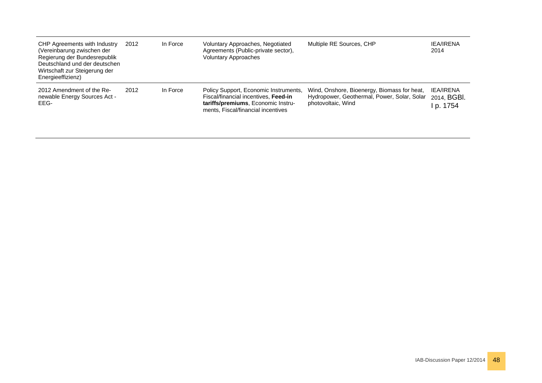| CHP Agreements with Industry<br>(Vereinbarung zwischen der<br>Regierung der Bundesrepublik<br>Deutschland und der deutschen<br>Wirtschaft zur Steigerung der<br>Energieeffizienz) | 2012 | In Force | Voluntary Approaches, Negotiated<br>Agreements (Public-private sector),<br><b>Voluntary Approaches</b>                                                    | Multiple RE Sources, CHP                                                                                         | <b>IEA/IRENA</b><br>2014                   |
|-----------------------------------------------------------------------------------------------------------------------------------------------------------------------------------|------|----------|-----------------------------------------------------------------------------------------------------------------------------------------------------------|------------------------------------------------------------------------------------------------------------------|--------------------------------------------|
| 2012 Amendment of the Re-<br>newable Energy Sources Act -<br>EEG-                                                                                                                 | 2012 | In Force | Policy Support, Economic Instruments,<br>Fiscal/financial incentives, Feed-in<br>tariffs/premiums, Economic Instru-<br>ments, Fiscal/financial incentives | Wind, Onshore, Bioenergy, Biomass for heat,<br>Hydropower, Geothermal, Power, Solar, Solar<br>photovoltaic, Wind | <b>IEA/IRENA</b><br>2014, BGBI.<br>p. 1754 |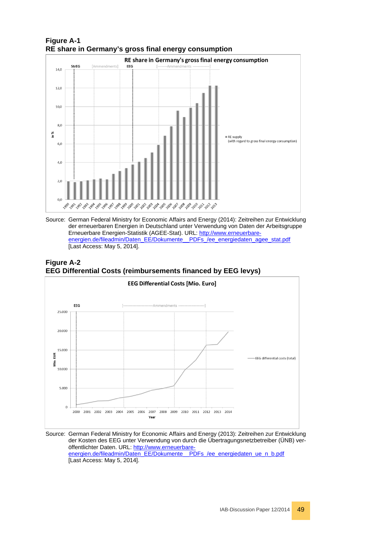

#### **Figure A-1 RE share in Germany's gross final energy consumption**



#### **Figure A-2 EEG Differential Costs (reimbursements financed by EEG levys)**



#### Source: German Federal Ministry for Economic Affairs and Energy (2013): Zeitreihen zur Entwicklung der Kosten des EEG unter Verwendung von durch die Übertragungsnetzbetreiber (ÜNB) veröffentlichter Daten. URL: [http://www.erneuerbare](http://www.erneuerbare-energien.de/fileadmin/Daten_EE/Dokumente__PDFs_/ee_energiedaten_ue_n_b.pdf)[energien.de/fileadmin/Daten\\_EE/Dokumente\\_\\_PDFs\\_/ee\\_energiedaten\\_ue\\_n\\_b.pdf](http://www.erneuerbare-energien.de/fileadmin/Daten_EE/Dokumente__PDFs_/ee_energiedaten_ue_n_b.pdf) [Last Access: May 5, 2014].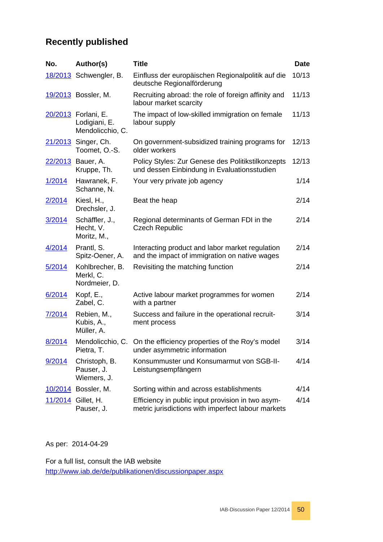# **Recently published**

| No.            | Author(s)                                                | <b>Title</b>                                                                                            | <b>Date</b> |
|----------------|----------------------------------------------------------|---------------------------------------------------------------------------------------------------------|-------------|
|                | 18/2013 Schwengler, B.                                   | Einfluss der europäischen Regionalpolitik auf die<br>deutsche Regionalförderung                         | 10/13       |
|                | 19/2013 Bossler, M.                                      | Recruiting abroad: the role of foreign affinity and<br>labour market scarcity                           | 11/13       |
|                | 20/2013 Forlani, E.<br>Lodigiani, E.<br>Mendolicchio, C. | The impact of low-skilled immigration on female<br>labour supply                                        | 11/13       |
|                | 21/2013 Singer, Ch.<br>Toomet, O.-S.                     | On government-subsidized training programs for<br>older workers                                         | 12/13       |
|                | 22/2013 Bauer, A.<br>Kruppe, Th.                         | Policy Styles: Zur Genese des Politikstilkonzepts<br>und dessen Einbindung in Evaluationsstudien        | 12/13       |
| 1/2014         | Hawranek, F.<br>Schanne, N.                              | Your very private job agency                                                                            | 1/14        |
| <u>2/2014</u>  | Kiesl, H.,<br>Drechsler, J.                              | Beat the heap                                                                                           | 2/14        |
| 3/2014         | Schäffler, J.,<br>Hecht, V.<br>Moritz, M.,               | Regional determinants of German FDI in the<br><b>Czech Republic</b>                                     | 2/14        |
| 4/2014         | Prantl, S.<br>Spitz-Oener, A.                            | Interacting product and labor market regulation<br>and the impact of immigration on native wages        | 2/14        |
| 5/2014         | Kohlbrecher, B.<br>Merkl, C.<br>Nordmeier, D.            | Revisiting the matching function                                                                        | 2/14        |
| 6/2014         | Kopf, E.,<br>Zabel, C.                                   | Active labour market programmes for women<br>with a partner                                             | 2/14        |
| 7/2014         | Rebien, M.,<br>Kubis, A.,<br>Müller, A.                  | Success and failure in the operational recruit-<br>ment process                                         | 3/14        |
| 8/2014         | Pietra, T.                                               | Mendolicchio, C. On the efficiency properties of the Roy's model<br>under asymmetric information        | 3/14        |
| 9/2014         | Christoph, B.<br>Pauser, J.<br>Wiemers, J.               | Konsummuster und Konsumarmut von SGB-II-<br>Leistungsempfängern                                         | 4/14        |
| <u>10/2014</u> | Bossler, M.                                              | Sorting within and across establishments                                                                | 4/14        |
| 11/2014        | Gillet, H.<br>Pauser, J.                                 | Efficiency in public input provision in two asym-<br>metric jurisdictions with imperfect labour markets | 4/14        |

As per: 2014-04-29

For a full list, consult the IAB website <http://www.iab.de/de/publikationen/discussionpaper.aspx>